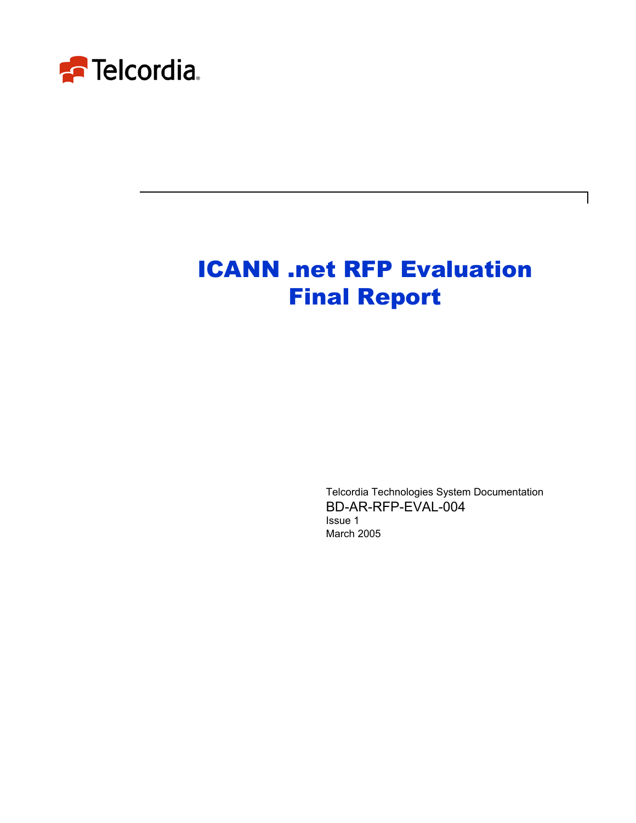

# ICANN .net RFP Evaluation Final Report

Telcordia Technologies System Documentation BD-AR-RFP-EVAL-004 Issue 1 March 2005

 $\mathsf{l}$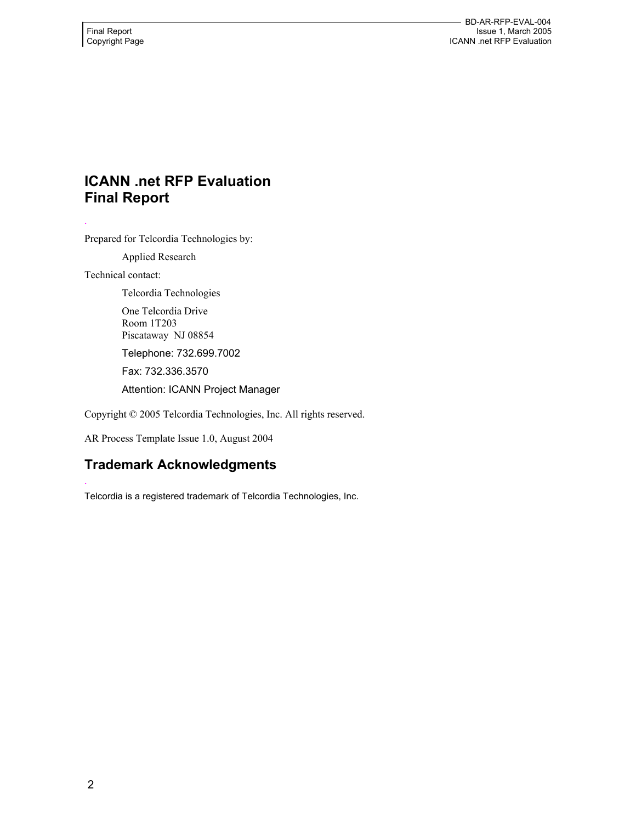## **ICANN .net RFP Evaluation Final Report**

Prepared for Telcordia Technologies by:

Applied Research

Technical contact:

*.* 

*.* 

Telcordia Technologies

One Telcordia Drive Room 1T203 Piscataway NJ 08854

Telephone: 732.699.7002

Fax: 732.336.3570

Attention: ICANN Project Manager

Copyright © 2005 Telcordia Technologies, Inc. All rights reserved.

AR Process Template Issue 1.0, August 2004

## **Trademark Acknowledgments**

Telcordia is a registered trademark of Telcordia Technologies, Inc.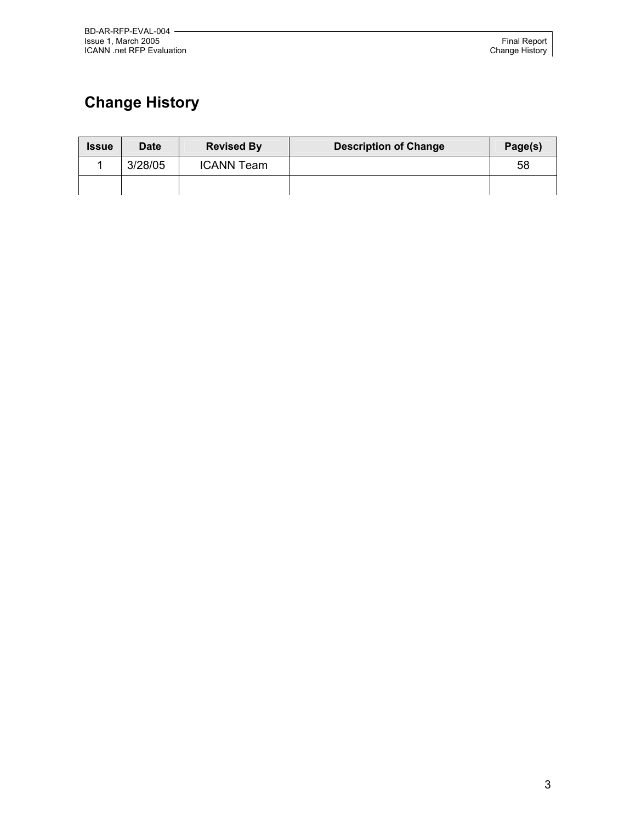# **Change History**

| <b>Issue</b> | <b>Date</b> | <b>Revised By</b> | <b>Description of Change</b> | Page(s) |
|--------------|-------------|-------------------|------------------------------|---------|
|              | 3/28/05     | <b>ICANN Team</b> |                              | 58      |
|              |             |                   |                              |         |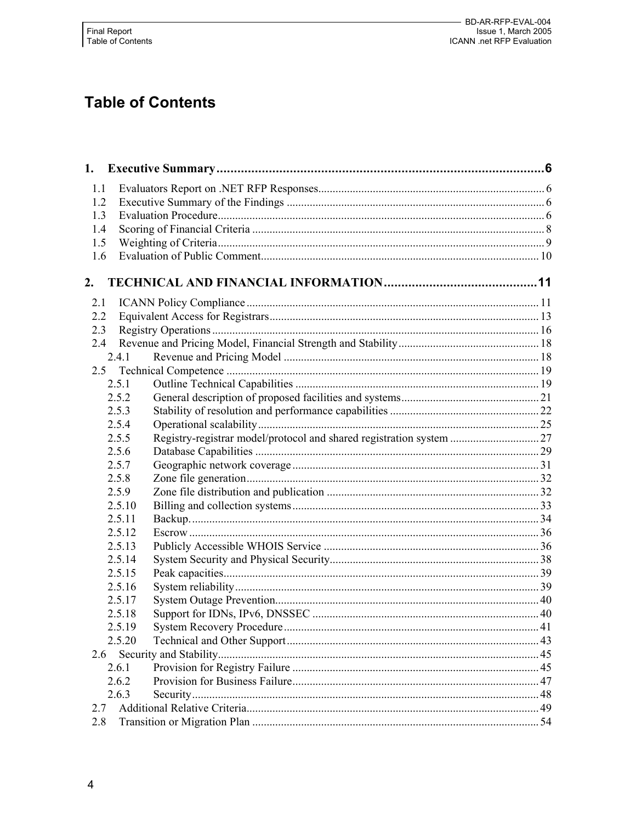## **Table of Contents**

| 1.1 |        |                                                                      |  |
|-----|--------|----------------------------------------------------------------------|--|
| 1.2 |        |                                                                      |  |
| 1.3 |        |                                                                      |  |
| 1.4 |        |                                                                      |  |
| 1.5 |        |                                                                      |  |
| 1.6 |        |                                                                      |  |
| 2.  |        |                                                                      |  |
| 2.1 |        |                                                                      |  |
| 2.2 |        |                                                                      |  |
| 2.3 |        |                                                                      |  |
| 2.4 |        |                                                                      |  |
|     | 2.4.1  |                                                                      |  |
| 2.5 |        |                                                                      |  |
|     | 2.5.1  |                                                                      |  |
|     | 2.5.2  |                                                                      |  |
|     | 2.5.3  |                                                                      |  |
|     | 2.5.4  |                                                                      |  |
|     | 2.5.5  | Registry-registrar model/protocol and shared registration system  27 |  |
|     | 2.5.6  |                                                                      |  |
|     | 2.5.7  |                                                                      |  |
|     | 2.5.8  |                                                                      |  |
|     | 2.5.9  |                                                                      |  |
|     | 2.5.10 |                                                                      |  |
|     | 2.5.11 |                                                                      |  |
|     | 2.5.12 |                                                                      |  |
|     | 2.5.13 |                                                                      |  |
|     | 2.5.14 |                                                                      |  |
|     | 2.5.15 |                                                                      |  |
|     | 2.5.16 |                                                                      |  |
|     | 2.5.17 |                                                                      |  |
|     | 2.5.18 |                                                                      |  |
|     | 2.5.19 |                                                                      |  |
|     | 2.5.20 |                                                                      |  |
| 2.6 |        |                                                                      |  |
|     | 2.6.1  |                                                                      |  |
|     | 2.6.2  |                                                                      |  |
|     | 2.6.3  |                                                                      |  |
| 2.7 |        |                                                                      |  |
| 2.8 |        |                                                                      |  |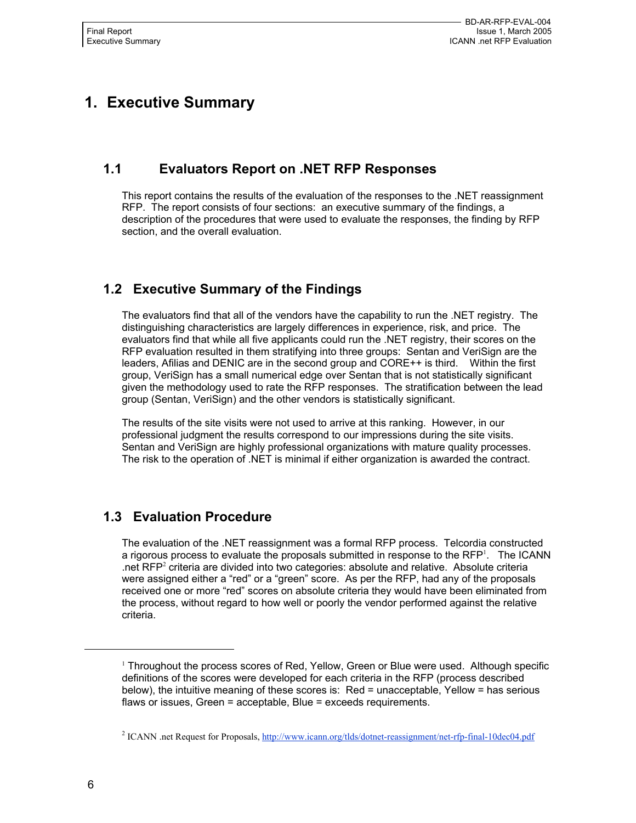## **1. Executive Summary**

## **1.1 Evaluators Report on .NET RFP Responses**

This report contains the results of the evaluation of the responses to the .NET reassignment RFP. The report consists of four sections: an executive summary of the findings, a description of the procedures that were used to evaluate the responses, the finding by RFP section, and the overall evaluation.

## **1.2 Executive Summary of the Findings**

The evaluators find that all of the vendors have the capability to run the .NET registry. The distinguishing characteristics are largely differences in experience, risk, and price. The evaluators find that while all five applicants could run the .NET registry, their scores on the RFP evaluation resulted in them stratifying into three groups: Sentan and VeriSign are the leaders, Afilias and DENIC are in the second group and CORE++ is third. Within the first group, VeriSign has a small numerical edge over Sentan that is not statistically significant given the methodology used to rate the RFP responses. The stratification between the lead group (Sentan, VeriSign) and the other vendors is statistically significant.

The results of the site visits were not used to arrive at this ranking. However, in our professional judgment the results correspond to our impressions during the site visits. Sentan and VeriSign are highly professional organizations with mature quality processes. The risk to the operation of .NET is minimal if either organization is awarded the contract.

## **1.3 Evaluation Procedure**

The evaluation of the .NET reassignment was a formal RFP process. Telcordia constructed a rigorous process to evaluate the proposals submitted in response to the  $RFP<sup>1</sup>$ . The ICANN net RFP<sup>2</sup> criteria are divided into two categories: absolute and relative. Absolute criteria were assigned either a "red" or a "green" score. As per the RFP, had any of the proposals received one or more "red" scores on absolute criteria they would have been eliminated from the process, without regard to how well or poorly the vendor performed against the relative criteria.

1

<sup>&</sup>lt;sup>1</sup> Throughout the process scores of Red, Yellow, Green or Blue were used. Although specific definitions of the scores were developed for each criteria in the RFP (process described below), the intuitive meaning of these scores is: Red = unacceptable, Yellow = has serious flaws or issues, Green = acceptable, Blue = exceeds requirements.

<sup>&</sup>lt;sup>2</sup> ICANN .net Request for Proposals, http://www.icann.org/tlds/dotnet-reassignment/net-rfp-final-10dec04.pdf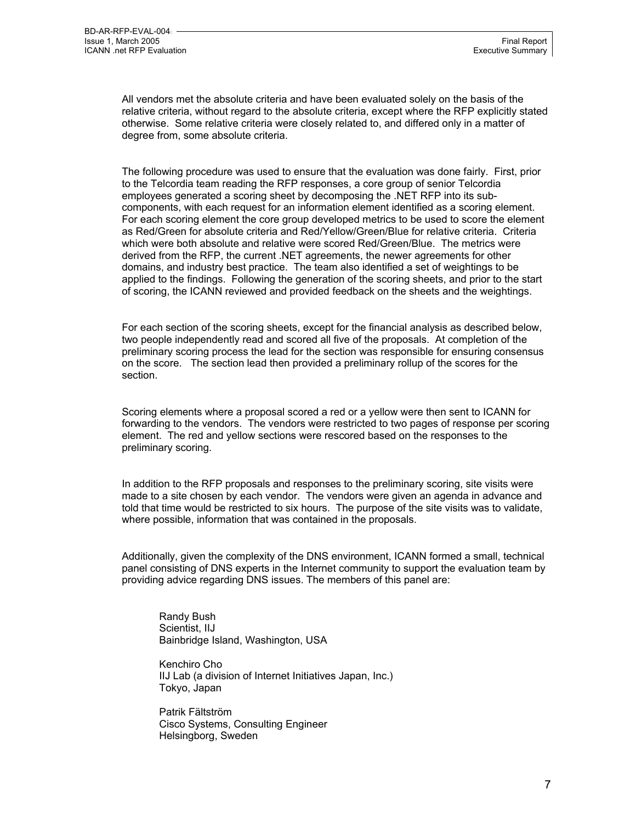All vendors met the absolute criteria and have been evaluated solely on the basis of the relative criteria, without regard to the absolute criteria, except where the RFP explicitly stated otherwise. Some relative criteria were closely related to, and differed only in a matter of degree from, some absolute criteria.

The following procedure was used to ensure that the evaluation was done fairly. First, prior to the Telcordia team reading the RFP responses, a core group of senior Telcordia employees generated a scoring sheet by decomposing the .NET RFP into its subcomponents, with each request for an information element identified as a scoring element. For each scoring element the core group developed metrics to be used to score the element as Red/Green for absolute criteria and Red/Yellow/Green/Blue for relative criteria. Criteria which were both absolute and relative were scored Red/Green/Blue. The metrics were derived from the RFP, the current .NET agreements, the newer agreements for other domains, and industry best practice. The team also identified a set of weightings to be applied to the findings. Following the generation of the scoring sheets, and prior to the start of scoring, the ICANN reviewed and provided feedback on the sheets and the weightings.

For each section of the scoring sheets, except for the financial analysis as described below, two people independently read and scored all five of the proposals. At completion of the preliminary scoring process the lead for the section was responsible for ensuring consensus on the score. The section lead then provided a preliminary rollup of the scores for the section.

Scoring elements where a proposal scored a red or a yellow were then sent to ICANN for forwarding to the vendors. The vendors were restricted to two pages of response per scoring element. The red and yellow sections were rescored based on the responses to the preliminary scoring.

In addition to the RFP proposals and responses to the preliminary scoring, site visits were made to a site chosen by each vendor. The vendors were given an agenda in advance and told that time would be restricted to six hours. The purpose of the site visits was to validate, where possible, information that was contained in the proposals.

Additionally, given the complexity of the DNS environment, ICANN formed a small, technical panel consisting of DNS experts in the Internet community to support the evaluation team by providing advice regarding DNS issues. The members of this panel are:

Randy Bush Scientist, IIJ Bainbridge Island, Washington, USA

Kenchiro Cho IIJ Lab (a division of Internet Initiatives Japan, Inc.) Tokyo, Japan

Patrik Fältström Cisco Systems, Consulting Engineer Helsingborg, Sweden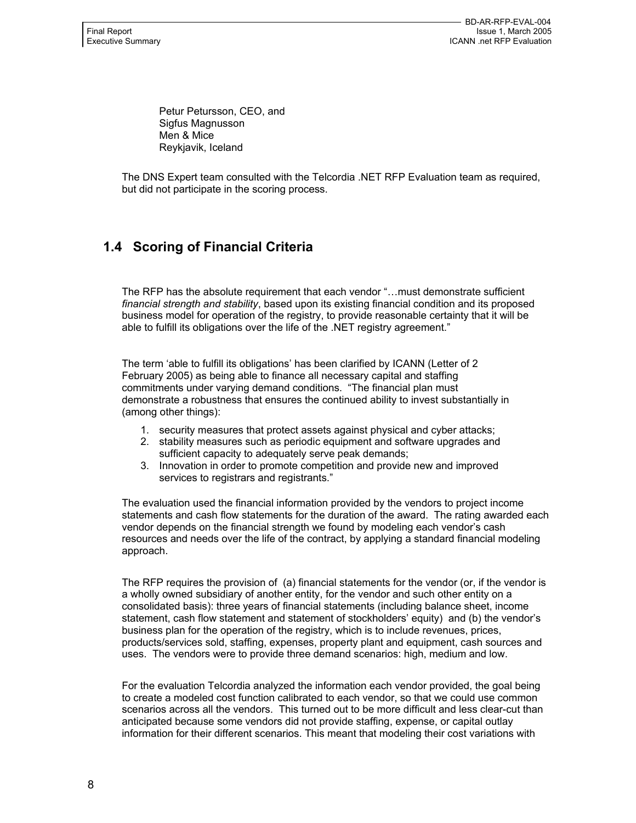Petur Petursson, CEO, and Sigfus Magnusson Men & Mice Reykjavik, Iceland

The DNS Expert team consulted with the Telcordia .NET RFP Evaluation team as required, but did not participate in the scoring process.

## **1.4 Scoring of Financial Criteria**

The RFP has the absolute requirement that each vendor "…must demonstrate sufficient *financial strength and stability*, based upon its existing financial condition and its proposed business model for operation of the registry, to provide reasonable certainty that it will be able to fulfill its obligations over the life of the .NET registry agreement."

The term 'able to fulfill its obligations' has been clarified by ICANN (Letter of 2 February 2005) as being able to finance all necessary capital and staffing commitments under varying demand conditions. "The financial plan must demonstrate a robustness that ensures the continued ability to invest substantially in (among other things):

- 1. security measures that protect assets against physical and cyber attacks;
- 2. stability measures such as periodic equipment and software upgrades and sufficient capacity to adequately serve peak demands;
- 3. Innovation in order to promote competition and provide new and improved services to registrars and registrants."

The evaluation used the financial information provided by the vendors to project income statements and cash flow statements for the duration of the award. The rating awarded each vendor depends on the financial strength we found by modeling each vendor's cash resources and needs over the life of the contract, by applying a standard financial modeling approach.

The RFP requires the provision of (a) financial statements for the vendor (or, if the vendor is a wholly owned subsidiary of another entity, for the vendor and such other entity on a consolidated basis): three years of financial statements (including balance sheet, income statement, cash flow statement and statement of stockholders' equity) and (b) the vendor's business plan for the operation of the registry, which is to include revenues, prices, products/services sold, staffing, expenses, property plant and equipment, cash sources and uses. The vendors were to provide three demand scenarios: high, medium and low.

For the evaluation Telcordia analyzed the information each vendor provided, the goal being to create a modeled cost function calibrated to each vendor, so that we could use common scenarios across all the vendors. This turned out to be more difficult and less clear-cut than anticipated because some vendors did not provide staffing, expense, or capital outlay information for their different scenarios. This meant that modeling their cost variations with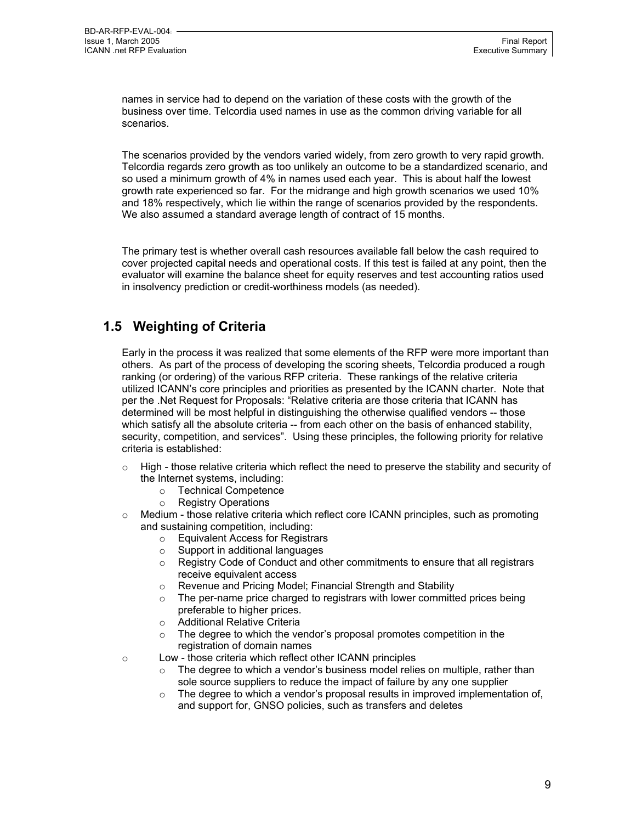names in service had to depend on the variation of these costs with the growth of the business over time. Telcordia used names in use as the common driving variable for all scenarios.

The scenarios provided by the vendors varied widely, from zero growth to very rapid growth. Telcordia regards zero growth as too unlikely an outcome to be a standardized scenario, and so used a minimum growth of 4% in names used each year. This is about half the lowest growth rate experienced so far. For the midrange and high growth scenarios we used 10% and 18% respectively, which lie within the range of scenarios provided by the respondents. We also assumed a standard average length of contract of 15 months.

The primary test is whether overall cash resources available fall below the cash required to cover projected capital needs and operational costs. If this test is failed at any point, then the evaluator will examine the balance sheet for equity reserves and test accounting ratios used in insolvency prediction or credit-worthiness models (as needed).

## **1.5 Weighting of Criteria**

Early in the process it was realized that some elements of the RFP were more important than others. As part of the process of developing the scoring sheets, Telcordia produced a rough ranking (or ordering) of the various RFP criteria. These rankings of the relative criteria utilized ICANN's core principles and priorities as presented by the ICANN charter. Note that per the .Net Request for Proposals: "Relative criteria are those criteria that ICANN has determined will be most helpful in distinguishing the otherwise qualified vendors -- those which satisfy all the absolute criteria -- from each other on the basis of enhanced stability, security, competition, and services". Using these principles, the following priority for relative criteria is established:

- $\circ$  High those relative criteria which reflect the need to preserve the stability and security of the Internet systems, including:
	- o Technical Competence
	- o Registry Operations
- o Medium those relative criteria which reflect core ICANN principles, such as promoting and sustaining competition, including:
	- o Equivalent Access for Registrars
	- o Support in additional languages
	- $\circ$  Registry Code of Conduct and other commitments to ensure that all registrars receive equivalent access
	- o Revenue and Pricing Model; Financial Strength and Stability
	- $\circ$  The per-name price charged to registrars with lower committed prices being preferable to higher prices.
	- o Additional Relative Criteria
	- o The degree to which the vendor's proposal promotes competition in the registration of domain names
- o Low those criteria which reflect other ICANN principles
	- $\circ$  The degree to which a vendor's business model relies on multiple, rather than sole source suppliers to reduce the impact of failure by any one supplier
	- $\circ$  The degree to which a vendor's proposal results in improved implementation of, and support for, GNSO policies, such as transfers and deletes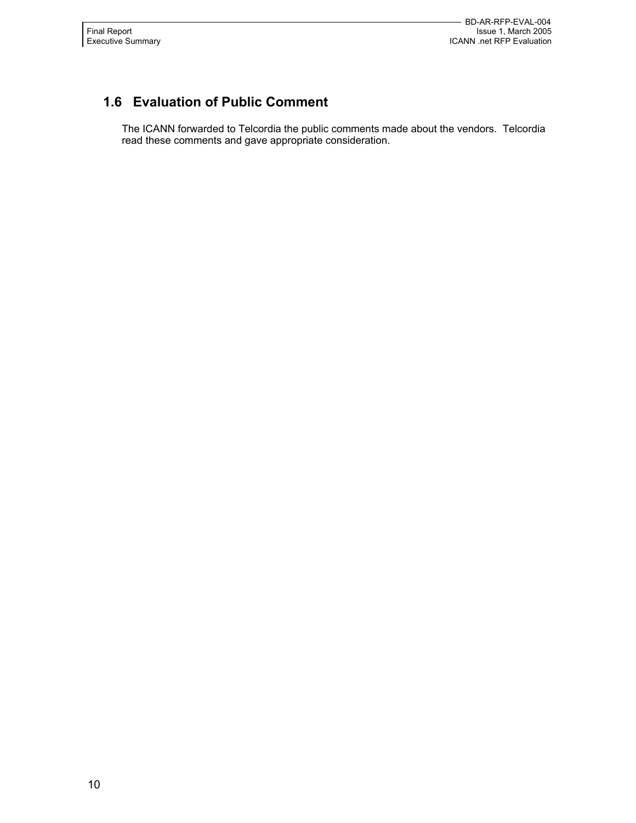## **1.6 Evaluation of Public Comment**

The ICANN forwarded to Telcordia the public comments made about the vendors. Telcordia read these comments and gave appropriate consideration.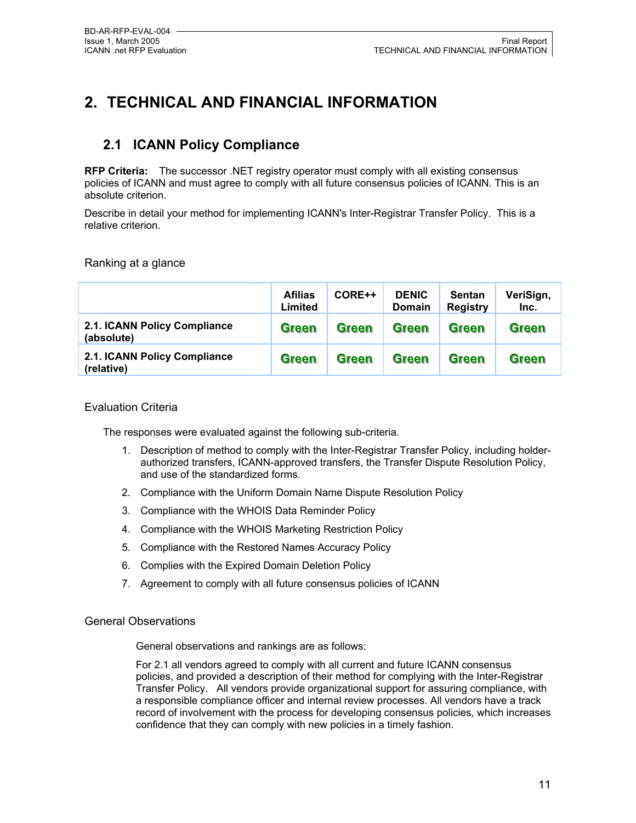## **2. TECHNICAL AND FINANCIAL INFORMATION**

## **2.1 ICANN Policy Compliance**

**RFP Criteria:** The successor .NET registry operator must comply with all existing consensus policies of ICANN and must agree to comply with all future consensus policies of ICANN. This is an absolute criterion.

Describe in detail your method for implementing ICANN's Inter-Registrar Transfer Policy. This is a relative criterion.

Ranking at a glance

|                                            | <b>Afilias</b><br>Limited | CORE++       | <b>DENIC</b><br><b>Domain</b> | <b>Sentan</b><br>Registry | VeriSign,<br>Inc. |
|--------------------------------------------|---------------------------|--------------|-------------------------------|---------------------------|-------------------|
| 2.1. ICANN Policy Compliance<br>(absolute) | <b>Green</b>              | <b>Green</b> | <b>Green</b>                  | <b>Green</b>              | <b>Green</b>      |
| 2.1. ICANN Policy Compliance<br>(relative) | <b>Green</b>              | <b>Green</b> | <b>Green</b>                  | <b>Green</b>              | <b>Green</b>      |

#### Evaluation Criteria

The responses were evaluated against the following sub-criteria.

- 1. Description of method to comply with the Inter-Registrar Transfer Policy, including holderauthorized transfers, ICANN-approved transfers, the Transfer Dispute Resolution Policy, and use of the standardized forms.
- 2. Compliance with the Uniform Domain Name Dispute Resolution Policy
- 3. Compliance with the WHOIS Data Reminder Policy
- 4. Compliance with the WHOIS Marketing Restriction Policy
- 5. Compliance with the Restored Names Accuracy Policy
- 6. Complies with the Expired Domain Deletion Policy
- 7. Agreement to comply with all future consensus policies of ICANN

#### General Observations

General observations and rankings are as follows:

For 2.1 all vendors agreed to comply with all current and future ICANN consensus policies, and provided a description of their method for complying with the Inter-Registrar Transfer Policy. All vendors provide organizational support for assuring compliance, with a responsible compliance officer and internal review processes. All vendors have a track record of involvement with the process for developing consensus policies, which increases confidence that they can comply with new policies in a timely fashion.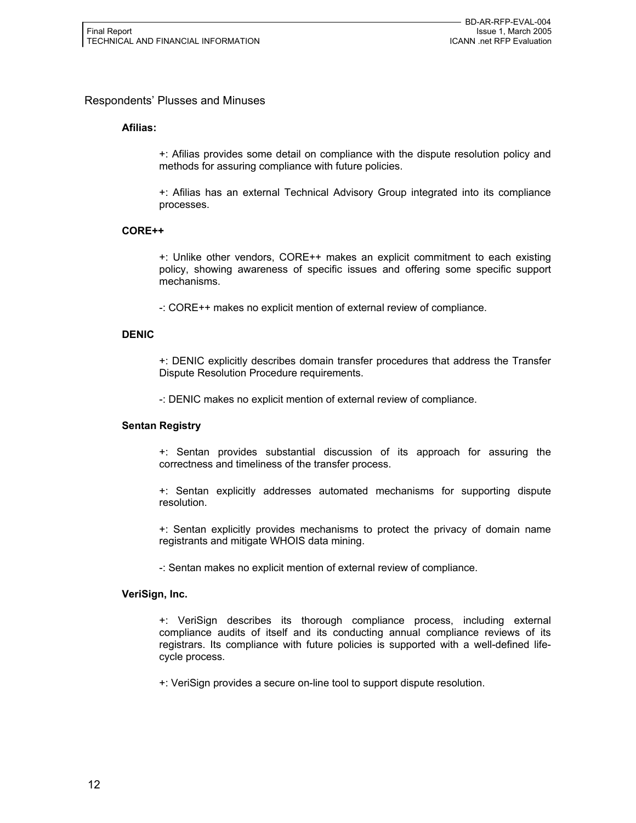#### Respondents' Plusses and Minuses

#### **Afilias:**

+: Afilias provides some detail on compliance with the dispute resolution policy and methods for assuring compliance with future policies.

+: Afilias has an external Technical Advisory Group integrated into its compliance processes.

#### **CORE++**

+: Unlike other vendors, CORE++ makes an explicit commitment to each existing policy, showing awareness of specific issues and offering some specific support mechanisms.

-: CORE++ makes no explicit mention of external review of compliance.

#### **DENIC**

+: DENIC explicitly describes domain transfer procedures that address the Transfer Dispute Resolution Procedure requirements.

-: DENIC makes no explicit mention of external review of compliance.

#### **Sentan Registry**

+: Sentan provides substantial discussion of its approach for assuring the correctness and timeliness of the transfer process.

+: Sentan explicitly addresses automated mechanisms for supporting dispute resolution.

+: Sentan explicitly provides mechanisms to protect the privacy of domain name registrants and mitigate WHOIS data mining.

-: Sentan makes no explicit mention of external review of compliance.

#### **VeriSign, Inc.**

+: VeriSign describes its thorough compliance process, including external compliance audits of itself and its conducting annual compliance reviews of its registrars. Its compliance with future policies is supported with a well-defined lifecycle process.

+: VeriSign provides a secure on-line tool to support dispute resolution.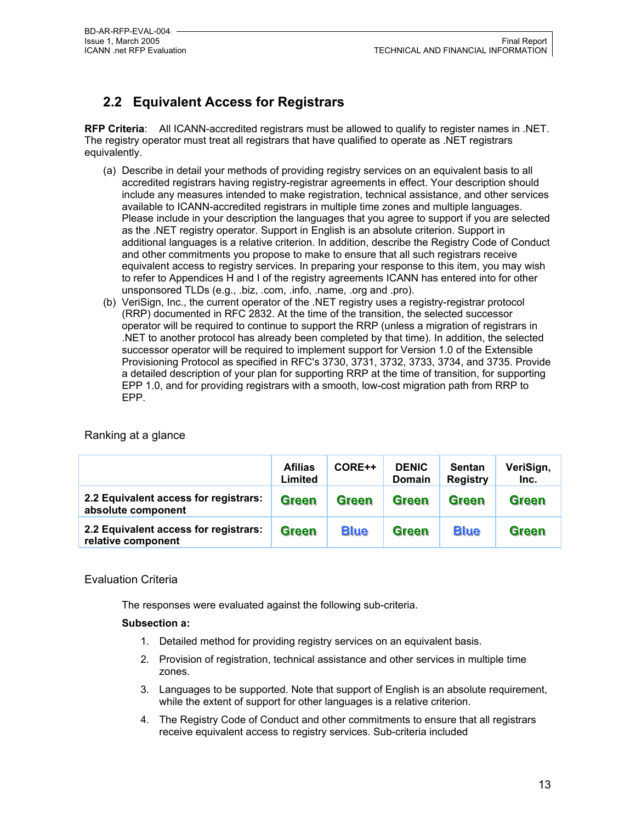## **2.2 Equivalent Access for Registrars**

**RFP Criteria**: All ICANN-accredited registrars must be allowed to qualify to register names in .NET. The registry operator must treat all registrars that have qualified to operate as .NET registrars equivalently.

- (a) Describe in detail your methods of providing registry services on an equivalent basis to all accredited registrars having registry-registrar agreements in effect. Your description should include any measures intended to make registration, technical assistance, and other services available to ICANN-accredited registrars in multiple time zones and multiple languages. Please include in your description the languages that you agree to support if you are selected as the .NET registry operator. Support in English is an absolute criterion. Support in additional languages is a relative criterion. In addition, describe the Registry Code of Conduct and other commitments you propose to make to ensure that all such registrars receive equivalent access to registry services. In preparing your response to this item, you may wish to refer to Appendices H and I of the registry agreements ICANN has entered into for other unsponsored TLDs (e.g., .biz, .com, .info, .name, .org and .pro).
- (b) VeriSign, Inc., the current operator of the .NET registry uses a registry-registrar protocol (RRP) documented in RFC 2832. At the time of the transition, the selected successor operator will be required to continue to support the RRP (unless a migration of registrars in .NET to another protocol has already been completed by that time). In addition, the selected successor operator will be required to implement support for Version 1.0 of the Extensible Provisioning Protocol as specified in RFC's 3730, 3731, 3732, 3733, 3734, and 3735. Provide a detailed description of your plan for supporting RRP at the time of transition, for supporting EPP 1.0, and for providing registrars with a smooth, low-cost migration path from RRP to EPP.

|                                                             | <b>Afilias</b><br>Limited | CORE++       | <b>DENIC</b><br><b>Domain</b> | Sentan<br><b>Registry</b> | VeriSign<br>Inc. |
|-------------------------------------------------------------|---------------------------|--------------|-------------------------------|---------------------------|------------------|
| 2.2 Equivalent access for registrars:<br>absolute component | <b>Green</b>              | <b>Green</b> | <b>Green</b>                  | <b>Green</b>              | <b>Green</b>     |
|                                                             |                           |              |                               |                           |                  |

#### Ranking at a glance

#### Evaluation Criteria

**relative component** 

The responses were evaluated against the following sub-criteria.

#### **Subsection a:**

**2.2 Equivalent access for registrars:** 

- 1. Detailed method for providing registry services on an equivalent basis.
- 2. Provision of registration, technical assistance and other services in multiple time zones.
- 3. Languages to be supported. Note that support of English is an absolute requirement, while the extent of support for other languages is a relative criterion.

 $Green$  **Blue** Green Blue

4. The Registry Code of Conduct and other commitments to ensure that all registrars receive equivalent access to registry services. Sub-criteria included

**VeriSign, Inc.** 

**Green**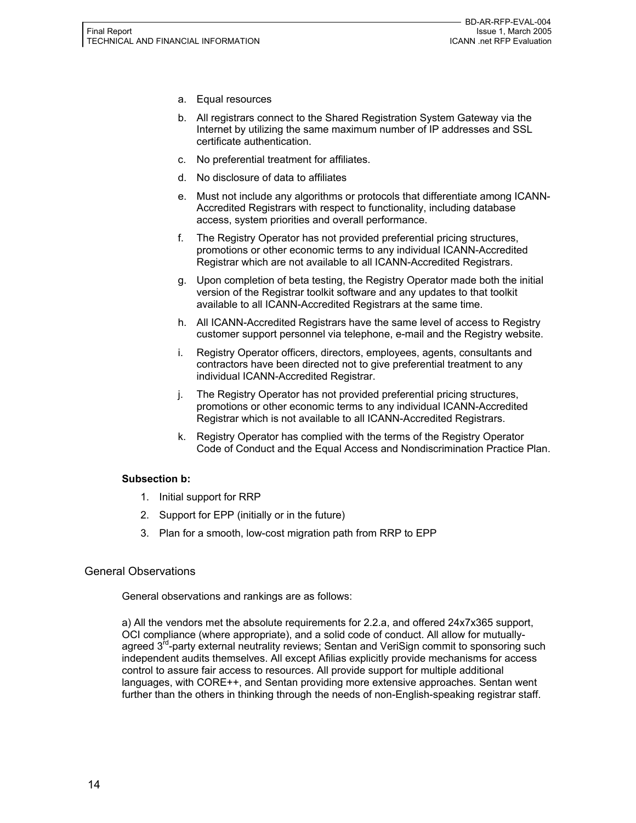- a. Equal resources
- b. All registrars connect to the Shared Registration System Gateway via the Internet by utilizing the same maximum number of IP addresses and SSL certificate authentication.
- c. No preferential treatment for affiliates.
- d. No disclosure of data to affiliates
- e. Must not include any algorithms or protocols that differentiate among ICANN-Accredited Registrars with respect to functionality, including database access, system priorities and overall performance.
- f. The Registry Operator has not provided preferential pricing structures, promotions or other economic terms to any individual ICANN-Accredited Registrar which are not available to all ICANN-Accredited Registrars.
- g. Upon completion of beta testing, the Registry Operator made both the initial version of the Registrar toolkit software and any updates to that toolkit available to all ICANN-Accredited Registrars at the same time.
- h. All ICANN-Accredited Registrars have the same level of access to Registry customer support personnel via telephone, e-mail and the Registry website.
- i. Registry Operator officers, directors, employees, agents, consultants and contractors have been directed not to give preferential treatment to any individual ICANN-Accredited Registrar.
- j. The Registry Operator has not provided preferential pricing structures, promotions or other economic terms to any individual ICANN-Accredited Registrar which is not available to all ICANN-Accredited Registrars.
- k. Registry Operator has complied with the terms of the Registry Operator Code of Conduct and the Equal Access and Nondiscrimination Practice Plan.

#### **Subsection b:**

- 1. Initial support for RRP
- 2. Support for EPP (initially or in the future)
- 3. Plan for a smooth, low-cost migration path from RRP to EPP

#### General Observations

General observations and rankings are as follows:

a) All the vendors met the absolute requirements for 2.2.a, and offered 24x7x365 support, OCI compliance (where appropriate), and a solid code of conduct. All allow for mutuallyagreed 3<sup>rd</sup>-party external neutrality reviews; Sentan and VeriSign commit to sponsoring such independent audits themselves. All except Afilias explicitly provide mechanisms for access control to assure fair access to resources. All provide support for multiple additional languages, with CORE++, and Sentan providing more extensive approaches. Sentan went further than the others in thinking through the needs of non-English-speaking registrar staff.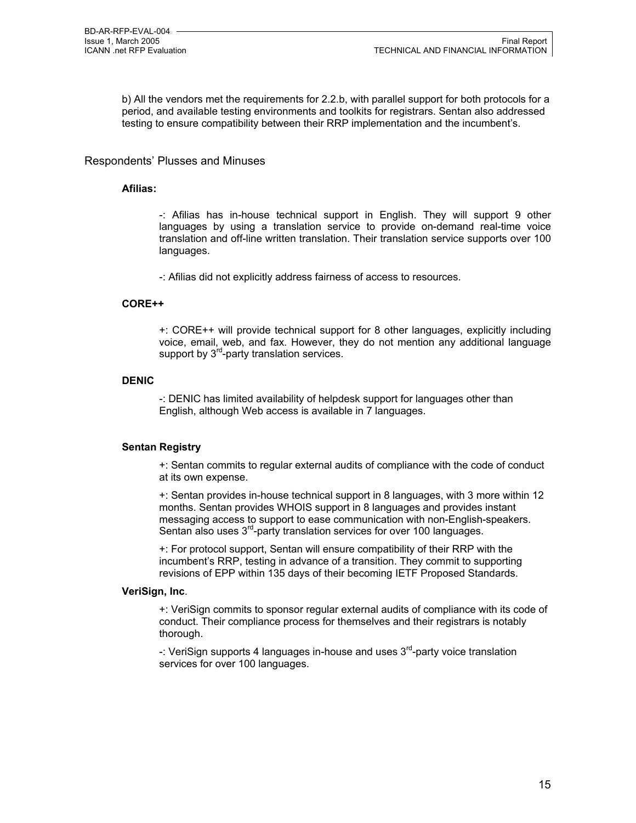b) All the vendors met the requirements for 2.2.b, with parallel support for both protocols for a period, and available testing environments and toolkits for registrars. Sentan also addressed testing to ensure compatibility between their RRP implementation and the incumbent's.

#### Respondents' Plusses and Minuses

#### **Afilias:**

-: Afilias has in-house technical support in English. They will support 9 other languages by using a translation service to provide on-demand real-time voice translation and off-line written translation. Their translation service supports over 100 languages.

-: Afilias did not explicitly address fairness of access to resources.

#### **CORE++**

+: CORE++ will provide technical support for 8 other languages, explicitly including voice, email, web, and fax. However, they do not mention any additional language support by  $3^{rd}$ -party translation services.

#### **DENIC**

-: DENIC has limited availability of helpdesk support for languages other than English, although Web access is available in 7 languages.

#### **Sentan Registry**

+: Sentan commits to regular external audits of compliance with the code of conduct at its own expense.

+: Sentan provides in-house technical support in 8 languages, with 3 more within 12 months. Sentan provides WHOIS support in 8 languages and provides instant messaging access to support to ease communication with non-English-speakers. Sentan also uses  $3<sup>rd</sup>$ -party translation services for over 100 languages.

+: For protocol support, Sentan will ensure compatibility of their RRP with the incumbent's RRP, testing in advance of a transition. They commit to supporting revisions of EPP within 135 days of their becoming IETF Proposed Standards.

#### **VeriSign, Inc**.

+: VeriSign commits to sponsor regular external audits of compliance with its code of conduct. Their compliance process for themselves and their registrars is notably thorough.

-: VeriSign supports 4 languages in-house and uses 3<sup>rd</sup>-party voice translation services for over 100 languages.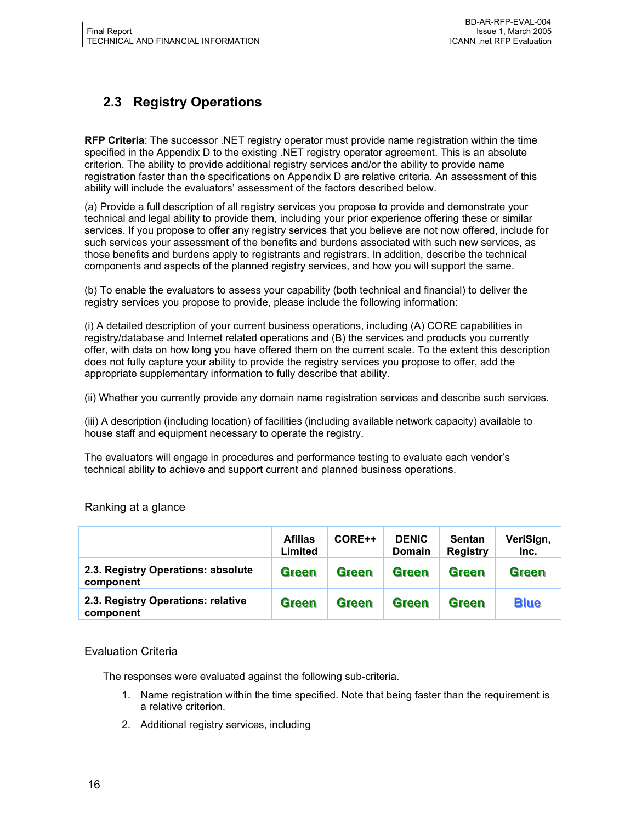## **2.3 Registry Operations**

**RFP Criteria**: The successor .NET registry operator must provide name registration within the time specified in the Appendix D to the existing .NET registry operator agreement. This is an absolute criterion. The ability to provide additional registry services and/or the ability to provide name registration faster than the specifications on Appendix D are relative criteria. An assessment of this ability will include the evaluators' assessment of the factors described below.

(a) Provide a full description of all registry services you propose to provide and demonstrate your technical and legal ability to provide them, including your prior experience offering these or similar services. If you propose to offer any registry services that you believe are not now offered, include for such services your assessment of the benefits and burdens associated with such new services, as those benefits and burdens apply to registrants and registrars. In addition, describe the technical components and aspects of the planned registry services, and how you will support the same.

(b) To enable the evaluators to assess your capability (both technical and financial) to deliver the registry services you propose to provide, please include the following information:

(i) A detailed description of your current business operations, including (A) CORE capabilities in registry/database and Internet related operations and (B) the services and products you currently offer, with data on how long you have offered them on the current scale. To the extent this description does not fully capture your ability to provide the registry services you propose to offer, add the appropriate supplementary information to fully describe that ability.

(ii) Whether you currently provide any domain name registration services and describe such services.

(iii) A description (including location) of facilities (including available network capacity) available to house staff and equipment necessary to operate the registry.

The evaluators will engage in procedures and performance testing to evaluate each vendor's technical ability to achieve and support current and planned business operations.

|                                                 | <b>Afilias</b><br>Limited | CORE++       | <b>DENIC</b><br><b>Domain</b> | <b>Sentan</b><br><b>Registry</b> | VeriSign,<br>Inc. |
|-------------------------------------------------|---------------------------|--------------|-------------------------------|----------------------------------|-------------------|
| 2.3. Registry Operations: absolute<br>component | <b>Green</b>              | <b>Green</b> | <b>Green</b>                  | <b>Green</b>                     | <b>Green</b>      |
| 2.3. Registry Operations: relative<br>component | <b>Green</b>              | <b>Green</b> | <b>Green</b>                  | <b>Green</b>                     | <b>Blue</b>       |

#### Ranking at a glance

#### Evaluation Criteria

The responses were evaluated against the following sub-criteria.

- 1. Name registration within the time specified. Note that being faster than the requirement is a relative criterion.
- 2. Additional registry services, including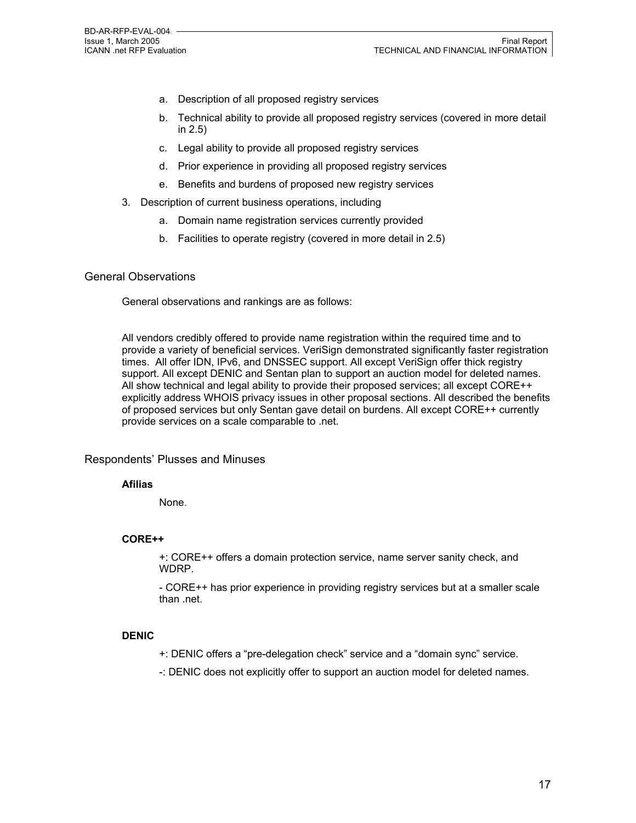- a. Description of all proposed registry services
- b. Technical ability to provide all proposed registry services (covered in more detail in 2.5)
- c. Legal ability to provide all proposed registry services
- d. Prior experience in providing all proposed registry services
- e. Benefits and burdens of proposed new registry services
- 3. Description of current business operations, including
	- a. Domain name registration services currently provided
	- b. Facilities to operate registry (covered in more detail in 2.5)

#### General Observations

General observations and rankings are as follows:

All vendors credibly offered to provide name registration within the required time and to provide a variety of beneficial services. VeriSign demonstrated significantly faster registration times. All offer IDN, IPv6, and DNSSEC support. All except VeriSign offer thick registry support. All except DENIC and Sentan plan to support an auction model for deleted names. All show technical and legal ability to provide their proposed services; all except CORE++ explicitly address WHOIS privacy issues in other proposal sections. All described the benefits of proposed services but only Sentan gave detail on burdens. All except CORE++ currently provide services on a scale comparable to .net.

#### Respondents' Plusses and Minuses

#### **Afilias**

None.

#### **CORE++**

+: CORE++ offers a domain protection service, name server sanity check, and WDRP.

- CORE++ has prior experience in providing registry services but at a smaller scale than .net.

#### **DENIC**

- +: DENIC offers a "pre-delegation check" service and a "domain sync" service.
- -: DENIC does not explicitly offer to support an auction model for deleted names.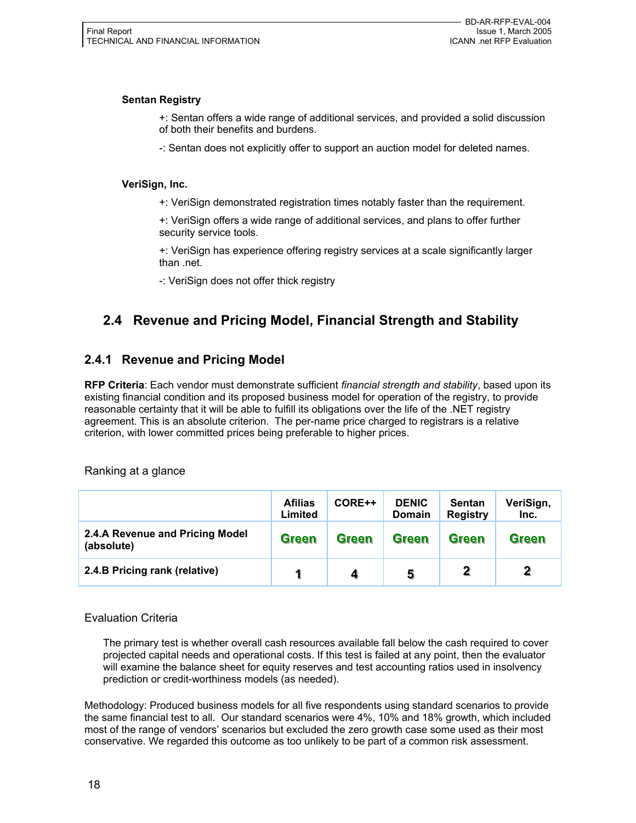#### **Sentan Registry**

- +: Sentan offers a wide range of additional services, and provided a solid discussion of both their benefits and burdens.
- -: Sentan does not explicitly offer to support an auction model for deleted names.

#### **VeriSign, Inc.**

+: VeriSign demonstrated registration times notably faster than the requirement.

+: VeriSign offers a wide range of additional services, and plans to offer further security service tools.

+: VeriSign has experience offering registry services at a scale significantly larger than .net.

-: VeriSign does not offer thick registry

## **2.4 Revenue and Pricing Model, Financial Strength and Stability**

### **2.4.1 Revenue and Pricing Model**

**RFP Criteria**: Each vendor must demonstrate sufficient *financial strength and stability*, based upon its existing financial condition and its proposed business model for operation of the registry, to provide reasonable certainty that it will be able to fulfill its obligations over the life of the .NET registry agreement. This is an absolute criterion. The per-name price charged to registrars is a relative criterion, with lower committed prices being preferable to higher prices.

Ranking at a glance

|                                               | <b>Afilias</b><br>Limited | CORE++       | <b>DENIC</b><br><b>Domain</b> | <b>Sentan</b><br><b>Registry</b> | VeriSign,<br>Inc. |
|-----------------------------------------------|---------------------------|--------------|-------------------------------|----------------------------------|-------------------|
| 2.4.A Revenue and Pricing Model<br>(absolute) | <b>Green</b>              | <b>Green</b> | <b>Green</b>                  | <b>Green</b>                     | <b>Green</b>      |
| 2.4.B Pricing rank (relative)                 |                           | 4            | 5                             | $\overline{\mathbf{2}}$          |                   |

#### Evaluation Criteria

The primary test is whether overall cash resources available fall below the cash required to cover projected capital needs and operational costs. If this test is failed at any point, then the evaluator will examine the balance sheet for equity reserves and test accounting ratios used in insolvency prediction or credit-worthiness models (as needed).

Methodology: Produced business models for all five respondents using standard scenarios to provide the same financial test to all. Our standard scenarios were 4%, 10% and 18% growth, which included most of the range of vendors' scenarios but excluded the zero growth case some used as their most conservative. We regarded this outcome as too unlikely to be part of a common risk assessment.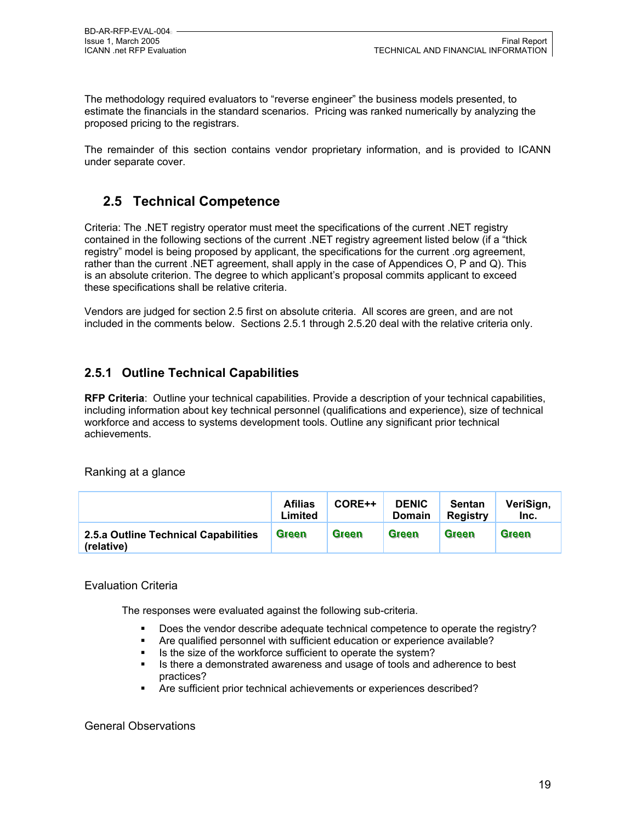The methodology required evaluators to "reverse engineer" the business models presented, to estimate the financials in the standard scenarios. Pricing was ranked numerically by analyzing the proposed pricing to the registrars.

The remainder of this section contains vendor proprietary information, and is provided to ICANN under separate cover.

## **2.5 Technical Competence**

Criteria: The .NET registry operator must meet the specifications of the current .NET registry contained in the following sections of the current .NET registry agreement listed below (if a "thick registry" model is being proposed by applicant, the specifications for the current .org agreement, rather than the current .NET agreement, shall apply in the case of Appendices O, P and Q). This is an absolute criterion. The degree to which applicant's proposal commits applicant to exceed these specifications shall be relative criteria.

Vendors are judged for section 2.5 first on absolute criteria. All scores are green, and are not included in the comments below. Sections 2.5.1 through 2.5.20 deal with the relative criteria only.

## **2.5.1 Outline Technical Capabilities**

**RFP Criteria**: Outline your technical capabilities. Provide a description of your technical capabilities, including information about key technical personnel (qualifications and experience), size of technical workforce and access to systems development tools. Outline any significant prior technical achievements.

Ranking at a glance

|                                                    | <b>Afilias</b><br>Limited | CORE++       | <b>DENIC</b><br><b>Domain</b> | <b>Sentan</b><br><b>Registry</b> | VeriSign,<br>Inc. |
|----------------------------------------------------|---------------------------|--------------|-------------------------------|----------------------------------|-------------------|
| 2.5.a Outline Technical Capabilities<br>(relative) | Green                     | <b>Green</b> | <b>Green</b>                  | <b>Green</b>                     | Green             |

#### Evaluation Criteria

The responses were evaluated against the following sub-criteria.

- Does the vendor describe adequate technical competence to operate the registry?
- Are qualified personnel with sufficient education or experience available?
- Is the size of the workforce sufficient to operate the system?
- Is there a demonstrated awareness and usage of tools and adherence to best practices?
- Are sufficient prior technical achievements or experiences described?

#### General Observations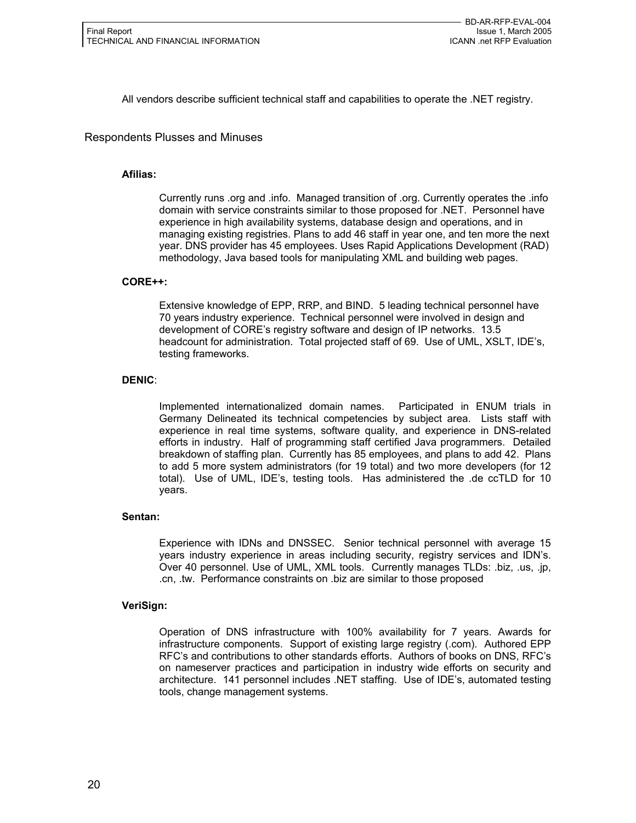All vendors describe sufficient technical staff and capabilities to operate the .NET registry.

Respondents Plusses and Minuses

#### **Afilias:**

Currently runs .org and .info. Managed transition of .org. Currently operates the .info domain with service constraints similar to those proposed for .NET. Personnel have experience in high availability systems, database design and operations, and in managing existing registries. Plans to add 46 staff in year one, and ten more the next year. DNS provider has 45 employees. Uses Rapid Applications Development (RAD) methodology, Java based tools for manipulating XML and building web pages.

#### **CORE++:**

Extensive knowledge of EPP, RRP, and BIND. 5 leading technical personnel have 70 years industry experience. Technical personnel were involved in design and development of CORE's registry software and design of IP networks. 13.5 headcount for administration. Total projected staff of 69. Use of UML, XSLT, IDE's, testing frameworks.

#### **DENIC**:

Implemented internationalized domain names. Participated in ENUM trials in Germany Delineated its technical competencies by subject area. Lists staff with experience in real time systems, software quality, and experience in DNS-related efforts in industry. Half of programming staff certified Java programmers. Detailed breakdown of staffing plan. Currently has 85 employees, and plans to add 42. Plans to add 5 more system administrators (for 19 total) and two more developers (for 12 total). Use of UML, IDE's, testing tools. Has administered the .de ccTLD for 10 years.

#### **Sentan:**

Experience with IDNs and DNSSEC. Senior technical personnel with average 15 years industry experience in areas including security, registry services and IDN's. Over 40 personnel. Use of UML, XML tools. Currently manages TLDs: .biz, .us, .jp, .cn, .tw. Performance constraints on .biz are similar to those proposed

#### **VeriSign:**

Operation of DNS infrastructure with 100% availability for 7 years. Awards for infrastructure components. Support of existing large registry (.com). Authored EPP RFC's and contributions to other standards efforts. Authors of books on DNS, RFC's on nameserver practices and participation in industry wide efforts on security and architecture. 141 personnel includes .NET staffing. Use of IDE's, automated testing tools, change management systems.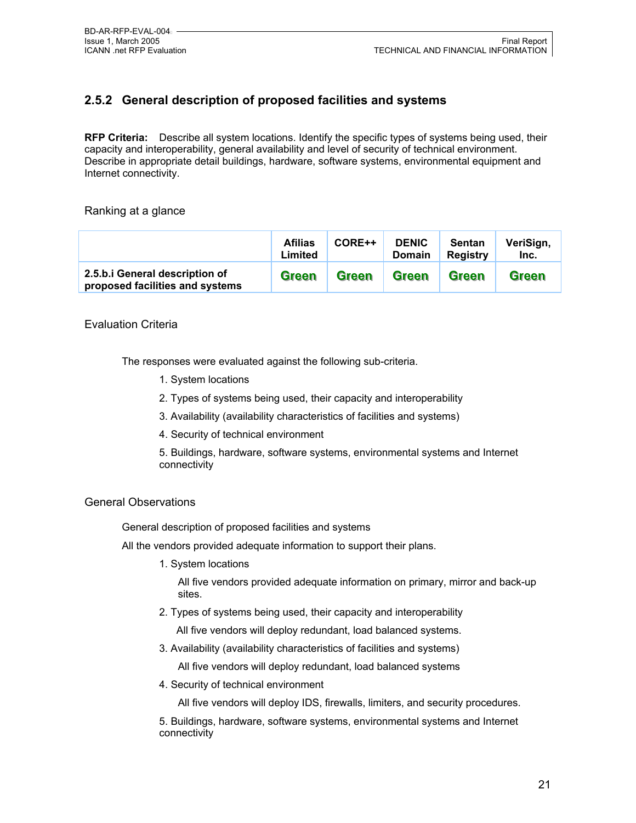## **2.5.2 General description of proposed facilities and systems**

**RFP Criteria:** Describe all system locations. Identify the specific types of systems being used, their capacity and interoperability, general availability and level of security of technical environment. Describe in appropriate detail buildings, hardware, software systems, environmental equipment and Internet connectivity.

#### Ranking at a glance

|                                                                   | <b>Afilias</b><br>Limited | CORE++       | <b>DENIC</b><br><b>Domain</b> | <b>Sentan</b><br>Registry | VeriSign,<br>Inc. |
|-------------------------------------------------------------------|---------------------------|--------------|-------------------------------|---------------------------|-------------------|
| 2.5.b.i General description of<br>proposed facilities and systems | <b>Green</b>              | <b>Green</b> | <b>Green</b>                  | <b>Green</b>              | <b>Green</b>      |

#### Evaluation Criteria

The responses were evaluated against the following sub-criteria.

- 1. System locations
- 2. Types of systems being used, their capacity and interoperability
- 3. Availability (availability characteristics of facilities and systems)
- 4. Security of technical environment
- 5. Buildings, hardware, software systems, environmental systems and Internet connectivity

#### General Observations

General description of proposed facilities and systems

All the vendors provided adequate information to support their plans.

1. System locations

All five vendors provided adequate information on primary, mirror and back-up sites.

2. Types of systems being used, their capacity and interoperability

All five vendors will deploy redundant, load balanced systems.

3. Availability (availability characteristics of facilities and systems)

All five vendors will deploy redundant, load balanced systems

4. Security of technical environment

All five vendors will deploy IDS, firewalls, limiters, and security procedures.

5. Buildings, hardware, software systems, environmental systems and Internet connectivity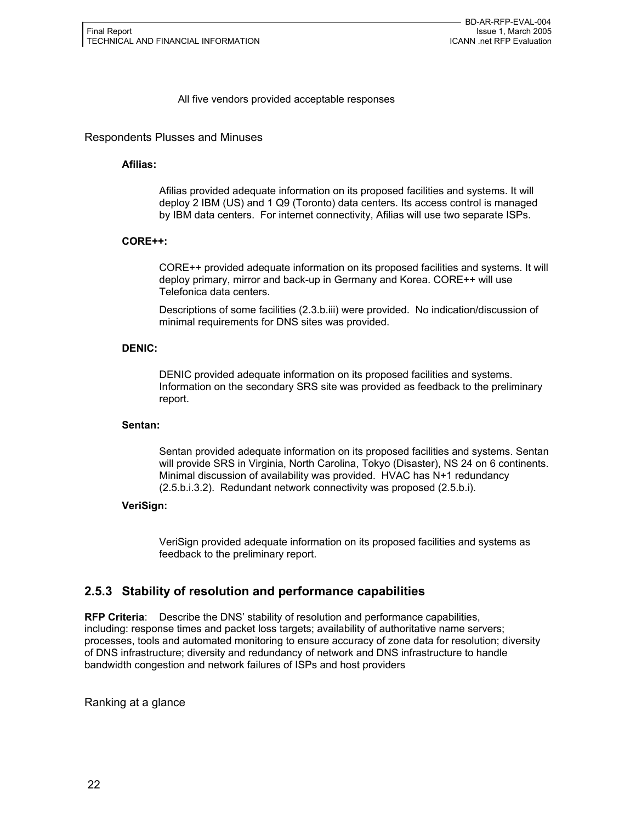#### All five vendors provided acceptable responses

#### Respondents Plusses and Minuses

#### **Afilias:**

Afilias provided adequate information on its proposed facilities and systems. It will deploy 2 IBM (US) and 1 Q9 (Toronto) data centers. Its access control is managed by IBM data centers. For internet connectivity, Afilias will use two separate ISPs.

#### **CORE++:**

CORE++ provided adequate information on its proposed facilities and systems. It will deploy primary, mirror and back-up in Germany and Korea. CORE++ will use Telefonica data centers.

Descriptions of some facilities (2.3.b.iii) were provided. No indication/discussion of minimal requirements for DNS sites was provided.

#### **DENIC:**

DENIC provided adequate information on its proposed facilities and systems. Information on the secondary SRS site was provided as feedback to the preliminary report.

#### **Sentan:**

Sentan provided adequate information on its proposed facilities and systems. Sentan will provide SRS in Virginia, North Carolina, Tokyo (Disaster), NS 24 on 6 continents. Minimal discussion of availability was provided. HVAC has N+1 redundancy (2.5.b.i.3.2). Redundant network connectivity was proposed (2.5.b.i).

#### **VeriSign:**

VeriSign provided adequate information on its proposed facilities and systems as feedback to the preliminary report.

### **2.5.3 Stability of resolution and performance capabilities**

**RFP Criteria**: Describe the DNS' stability of resolution and performance capabilities, including: response times and packet loss targets; availability of authoritative name servers; processes, tools and automated monitoring to ensure accuracy of zone data for resolution; diversity of DNS infrastructure; diversity and redundancy of network and DNS infrastructure to handle bandwidth congestion and network failures of ISPs and host providers

Ranking at a glance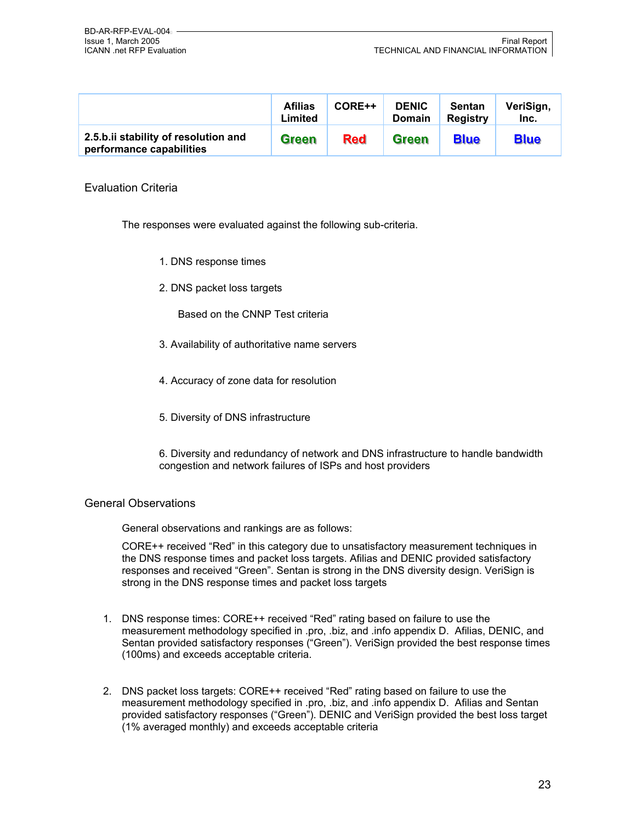|                                                                  | <b>Afilias</b><br>Limited | CORE++     | <b>DENIC</b><br><b>Domain</b> | <b>Sentan</b><br>Registry | VeriSign,<br>Inc. |
|------------------------------------------------------------------|---------------------------|------------|-------------------------------|---------------------------|-------------------|
| 2.5.b.ii stability of resolution and<br>performance capabilities | <b>Green</b>              | <b>Red</b> | <b>Green</b>                  | <b>Blue</b>               | <b>Blue</b>       |

#### Evaluation Criteria

The responses were evaluated against the following sub-criteria.

- 1. DNS response times
- 2. DNS packet loss targets

Based on the CNNP Test criteria

- 3. Availability of authoritative name servers
- 4. Accuracy of zone data for resolution
- 5. Diversity of DNS infrastructure
- 6. Diversity and redundancy of network and DNS infrastructure to handle bandwidth congestion and network failures of ISPs and host providers

#### General Observations

General observations and rankings are as follows:

CORE++ received "Red" in this category due to unsatisfactory measurement techniques in the DNS response times and packet loss targets. Afilias and DENIC provided satisfactory responses and received "Green". Sentan is strong in the DNS diversity design. VeriSign is strong in the DNS response times and packet loss targets

- 1. DNS response times: CORE++ received "Red" rating based on failure to use the measurement methodology specified in .pro, .biz, and .info appendix D. Afilias, DENIC, and Sentan provided satisfactory responses ("Green"). VeriSign provided the best response times (100ms) and exceeds acceptable criteria.
- 2. DNS packet loss targets: CORE++ received "Red" rating based on failure to use the measurement methodology specified in .pro, .biz, and .info appendix D. Afilias and Sentan provided satisfactory responses ("Green"). DENIC and VeriSign provided the best loss target (1% averaged monthly) and exceeds acceptable criteria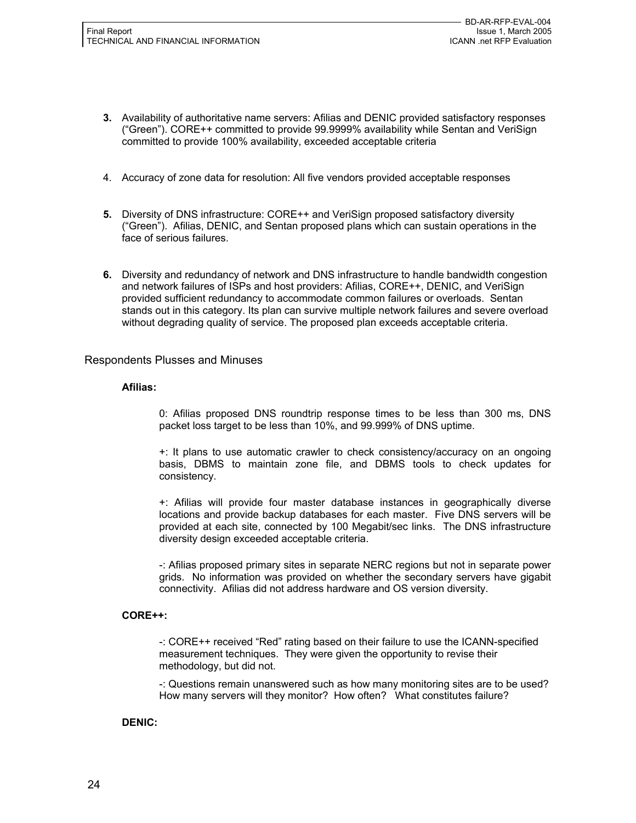- **3.** Availability of authoritative name servers: Afilias and DENIC provided satisfactory responses ("Green"). CORE++ committed to provide 99.9999% availability while Sentan and VeriSign committed to provide 100% availability, exceeded acceptable criteria
- 4. Accuracy of zone data for resolution: All five vendors provided acceptable responses
- **5.** Diversity of DNS infrastructure: CORE++ and VeriSign proposed satisfactory diversity ("Green"). Afilias, DENIC, and Sentan proposed plans which can sustain operations in the face of serious failures.
- **6.** Diversity and redundancy of network and DNS infrastructure to handle bandwidth congestion and network failures of ISPs and host providers: Afilias, CORE++, DENIC, and VeriSign provided sufficient redundancy to accommodate common failures or overloads. Sentan stands out in this category. Its plan can survive multiple network failures and severe overload without degrading quality of service. The proposed plan exceeds acceptable criteria.

#### Respondents Plusses and Minuses

#### **Afilias:**

0: Afilias proposed DNS roundtrip response times to be less than 300 ms, DNS packet loss target to be less than 10%, and 99.999% of DNS uptime.

+: It plans to use automatic crawler to check consistency/accuracy on an ongoing basis, DBMS to maintain zone file, and DBMS tools to check updates for consistency.

+: Afilias will provide four master database instances in geographically diverse locations and provide backup databases for each master. Five DNS servers will be provided at each site, connected by 100 Megabit/sec links. The DNS infrastructure diversity design exceeded acceptable criteria.

-: Afilias proposed primary sites in separate NERC regions but not in separate power grids. No information was provided on whether the secondary servers have gigabit connectivity. Afilias did not address hardware and OS version diversity.

#### **CORE++:**

-: CORE++ received "Red" rating based on their failure to use the ICANN-specified measurement techniques. They were given the opportunity to revise their methodology, but did not.

-: Questions remain unanswered such as how many monitoring sites are to be used? How many servers will they monitor? How often? What constitutes failure?

#### **DENIC:**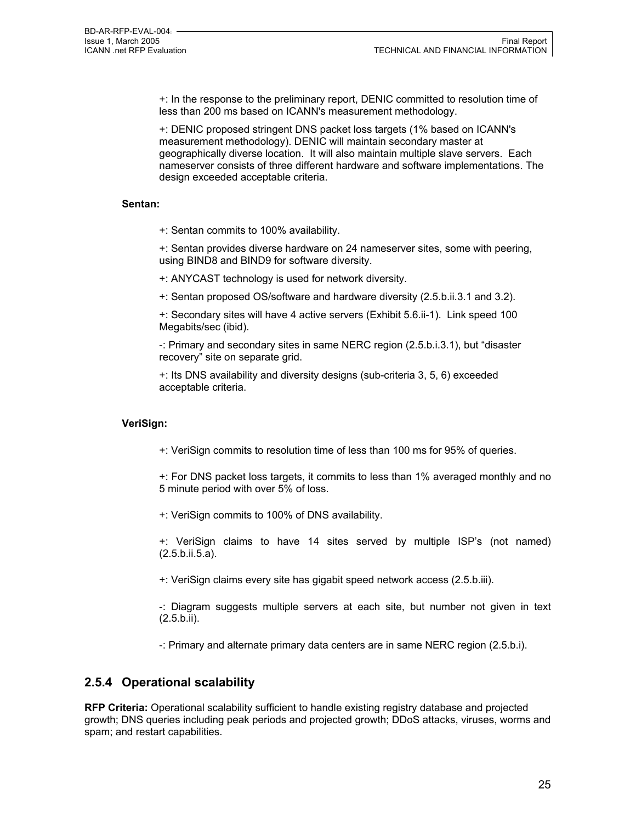+: In the response to the preliminary report, DENIC committed to resolution time of less than 200 ms based on ICANN's measurement methodology.

+: DENIC proposed stringent DNS packet loss targets (1% based on ICANN's measurement methodology). DENIC will maintain secondary master at geographically diverse location. It will also maintain multiple slave servers. Each nameserver consists of three different hardware and software implementations. The design exceeded acceptable criteria.

#### **Sentan:**

+: Sentan commits to 100% availability.

+: Sentan provides diverse hardware on 24 nameserver sites, some with peering, using BIND8 and BIND9 for software diversity.

+: ANYCAST technology is used for network diversity.

+: Sentan proposed OS/software and hardware diversity (2.5.b.ii.3.1 and 3.2).

+: Secondary sites will have 4 active servers (Exhibit 5.6.ii-1). Link speed 100 Megabits/sec (ibid).

-: Primary and secondary sites in same NERC region (2.5.b.i.3.1), but "disaster recovery" site on separate grid.

+: Its DNS availability and diversity designs (sub-criteria 3, 5, 6) exceeded acceptable criteria.

#### **VeriSign:**

+: VeriSign commits to resolution time of less than 100 ms for 95% of queries.

+: For DNS packet loss targets, it commits to less than 1% averaged monthly and no 5 minute period with over 5% of loss.

+: VeriSign commits to 100% of DNS availability.

+: VeriSign claims to have 14 sites served by multiple ISP's (not named) (2.5.b.ii.5.a).

+: VeriSign claims every site has gigabit speed network access (2.5.b.iii).

-: Diagram suggests multiple servers at each site, but number not given in text (2.5.b.ii).

-: Primary and alternate primary data centers are in same NERC region (2.5.b.i).

#### **2.5.4 Operational scalability**

**RFP Criteria:** Operational scalability sufficient to handle existing registry database and projected growth; DNS queries including peak periods and projected growth; DDoS attacks, viruses, worms and spam; and restart capabilities.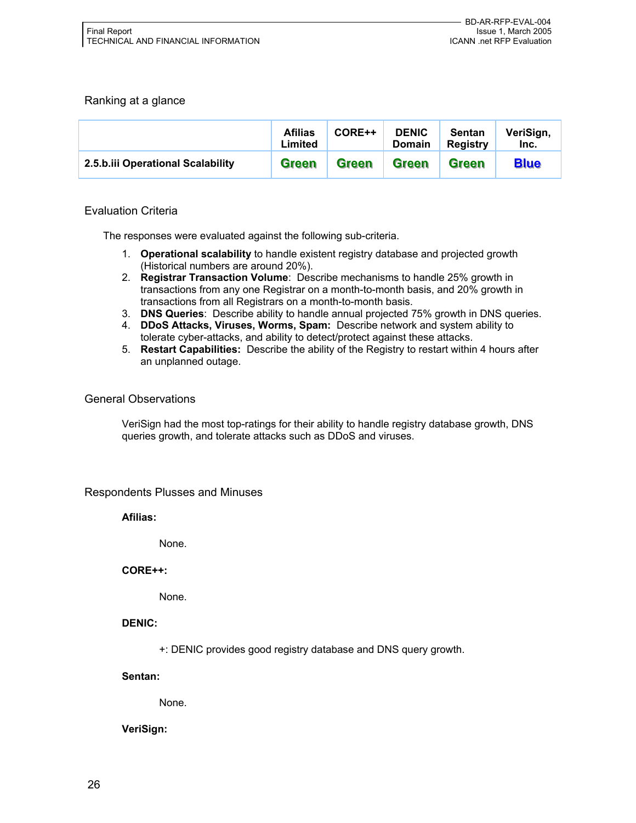#### Ranking at a glance

|                                   | <b>Afilias</b><br>Limited | CORE++       | <b>DENIC</b><br><b>Domain</b> | <b>Sentan</b><br><b>Registry</b> | VeriSign,<br>Inc. |
|-----------------------------------|---------------------------|--------------|-------------------------------|----------------------------------|-------------------|
| 2.5.b.iii Operational Scalability | <b>Green</b>              | <b>Green</b> | <b>Green</b>                  | <b>Green</b>                     | <b>Blue</b>       |

#### Evaluation Criteria

The responses were evaluated against the following sub-criteria.

- 1. **Operational scalability** to handle existent registry database and projected growth (Historical numbers are around 20%).
- 2. **Registrar Transaction Volume**: Describe mechanisms to handle 25% growth in transactions from any one Registrar on a month-to-month basis, and 20% growth in transactions from all Registrars on a month-to-month basis.
- 3. **DNS Queries**: Describe ability to handle annual projected 75% growth in DNS queries.
- 4. **DDoS Attacks, Viruses, Worms, Spam:** Describe network and system ability to tolerate cyber-attacks, and ability to detect/protect against these attacks.
- 5. **Restart Capabilities:** Describe the ability of the Registry to restart within 4 hours after an unplanned outage.

#### General Observations

VeriSign had the most top-ratings for their ability to handle registry database growth, DNS queries growth, and tolerate attacks such as DDoS and viruses.

#### Respondents Plusses and Minuses

**Afilias:** 

None.

**CORE++:** 

None.

**DENIC:** 

+: DENIC provides good registry database and DNS query growth.

**Sentan:** 

None.

#### **VeriSign:**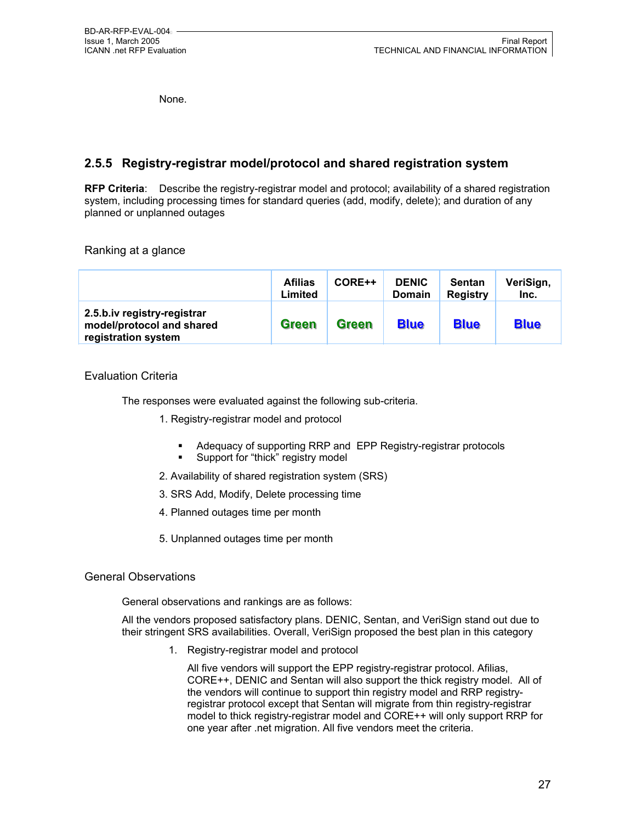None.

## **2.5.5 Registry-registrar model/protocol and shared registration system**

**RFP Criteria**: Describe the registry-registrar model and protocol; availability of a shared registration system, including processing times for standard queries (add, modify, delete); and duration of any planned or unplanned outages

Ranking at a glance

|                                                                                 | <b>Afilias</b><br>Limited | CORE++       | <b>DENIC</b><br><b>Domain</b> | <b>Sentan</b><br><b>Registry</b> | VeriSign,<br>Inc. |
|---------------------------------------------------------------------------------|---------------------------|--------------|-------------------------------|----------------------------------|-------------------|
| 2.5.b.iv registry-registrar<br>model/protocol and shared<br>registration system | <b>Green</b>              | <b>Green</b> | <b>Blue</b>                   | <b>Blue</b>                      | <b>Blue</b>       |

#### Evaluation Criteria

The responses were evaluated against the following sub-criteria.

- 1. Registry-registrar model and protocol
	- Adequacy of supporting RRP and EPP Registry-registrar protocols
	- **Support for "thick" registry model**
- 2. Availability of shared registration system (SRS)
- 3. SRS Add, Modify, Delete processing time
- 4. Planned outages time per month
- 5. Unplanned outages time per month

#### General Observations

General observations and rankings are as follows:

All the vendors proposed satisfactory plans. DENIC, Sentan, and VeriSign stand out due to their stringent SRS availabilities. Overall, VeriSign proposed the best plan in this category

1. Registry-registrar model and protocol

All five vendors will support the EPP registry-registrar protocol. Afilias, CORE++, DENIC and Sentan will also support the thick registry model. All of the vendors will continue to support thin registry model and RRP registryregistrar protocol except that Sentan will migrate from thin registry-registrar model to thick registry-registrar model and CORE++ will only support RRP for one year after .net migration. All five vendors meet the criteria.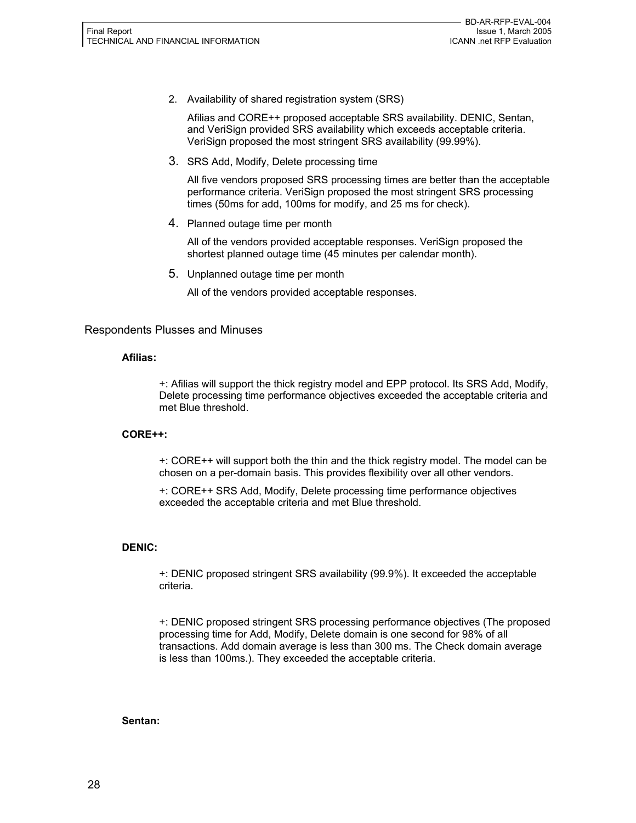2. Availability of shared registration system (SRS)

Afilias and CORE++ proposed acceptable SRS availability. DENIC, Sentan, and VeriSign provided SRS availability which exceeds acceptable criteria. VeriSign proposed the most stringent SRS availability (99.99%).

3. SRS Add, Modify, Delete processing time

All five vendors proposed SRS processing times are better than the acceptable performance criteria. VeriSign proposed the most stringent SRS processing times (50ms for add, 100ms for modify, and 25 ms for check).

4. Planned outage time per month

All of the vendors provided acceptable responses. VeriSign proposed the shortest planned outage time (45 minutes per calendar month).

5. Unplanned outage time per month

All of the vendors provided acceptable responses.

#### Respondents Plusses and Minuses

#### **Afilias:**

+: Afilias will support the thick registry model and EPP protocol. Its SRS Add, Modify, Delete processing time performance objectives exceeded the acceptable criteria and met Blue threshold.

#### **CORE++:**

+: CORE++ will support both the thin and the thick registry model. The model can be chosen on a per-domain basis. This provides flexibility over all other vendors.

+: CORE++ SRS Add, Modify, Delete processing time performance objectives exceeded the acceptable criteria and met Blue threshold.

#### **DENIC:**

+: DENIC proposed stringent SRS availability (99.9%). It exceeded the acceptable criteria.

+: DENIC proposed stringent SRS processing performance objectives (The proposed processing time for Add, Modify, Delete domain is one second for 98% of all transactions. Add domain average is less than 300 ms. The Check domain average is less than 100ms.). They exceeded the acceptable criteria.

#### **Sentan:**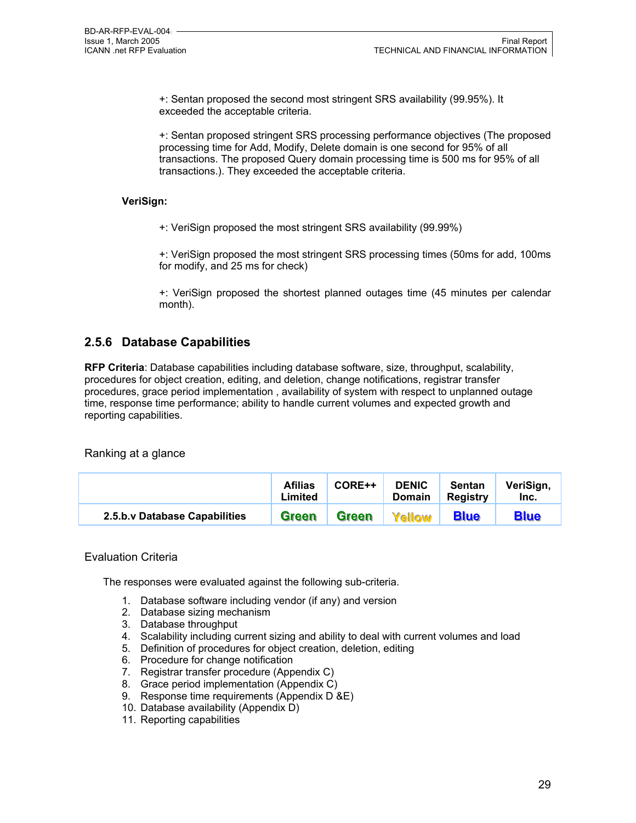+: Sentan proposed the second most stringent SRS availability (99.95%). It exceeded the acceptable criteria.

+: Sentan proposed stringent SRS processing performance objectives (The proposed processing time for Add, Modify, Delete domain is one second for 95% of all transactions. The proposed Query domain processing time is 500 ms for 95% of all transactions.). They exceeded the acceptable criteria.

#### **VeriSign:**

+: VeriSign proposed the most stringent SRS availability (99.99%)

+: VeriSign proposed the most stringent SRS processing times (50ms for add, 100ms for modify, and 25 ms for check)

+: VeriSign proposed the shortest planned outages time (45 minutes per calendar month).

## **2.5.6 Database Capabilities**

**RFP Criteria**: Database capabilities including database software, size, throughput, scalability, procedures for object creation, editing, and deletion, change notifications, registrar transfer procedures, grace period implementation , availability of system with respect to unplanned outage time, response time performance; ability to handle current volumes and expected growth and reporting capabilities.

Ranking at a glance

|                               | <b>Afilias</b><br>Limited | CORE++       | <b>DENIC</b><br><b>Domain</b> | <b>Sentan</b><br><b>Registry</b> | VeriSign,<br>Inc. |
|-------------------------------|---------------------------|--------------|-------------------------------|----------------------------------|-------------------|
| 2.5.b.v Database Capabilities | <b>Green</b>              | <b>Green</b> | Yellow                        | <b>Blue</b>                      | <b>Blue</b>       |

#### Evaluation Criteria

The responses were evaluated against the following sub-criteria.

- 1. Database software including vendor (if any) and version
- 2. Database sizing mechanism
- 3. Database throughput
- 4. Scalability including current sizing and ability to deal with current volumes and load
- 5. Definition of procedures for object creation, deletion, editing
- 6. Procedure for change notification
- 7. Registrar transfer procedure (Appendix C)
- 8. Grace period implementation (Appendix C)
- 9. Response time requirements (Appendix D &E)
- 10. Database availability (Appendix D)
- 11. Reporting capabilities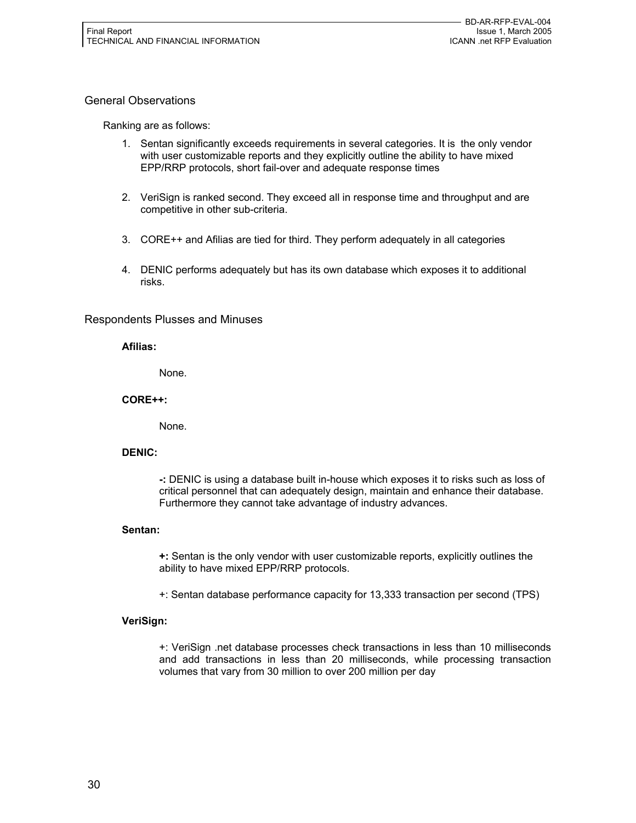#### General Observations

Ranking are as follows:

- 1. Sentan significantly exceeds requirements in several categories. It is the only vendor with user customizable reports and they explicitly outline the ability to have mixed EPP/RRP protocols, short fail-over and adequate response times
- 2. VeriSign is ranked second. They exceed all in response time and throughput and are competitive in other sub-criteria.
- 3. CORE++ and Afilias are tied for third. They perform adequately in all categories
- 4. DENIC performs adequately but has its own database which exposes it to additional risks.

#### Respondents Plusses and Minuses

#### **Afilias:**

None.

#### **CORE++:**

None.

#### **DENIC:**

**-:** DENIC is using a database built in-house which exposes it to risks such as loss of critical personnel that can adequately design, maintain and enhance their database. Furthermore they cannot take advantage of industry advances.

#### **Sentan:**

**+:** Sentan is the only vendor with user customizable reports, explicitly outlines the ability to have mixed EPP/RRP protocols.

+: Sentan database performance capacity for 13,333 transaction per second (TPS)

#### **VeriSign:**

+: VeriSign .net database processes check transactions in less than 10 milliseconds and add transactions in less than 20 milliseconds, while processing transaction volumes that vary from 30 million to over 200 million per day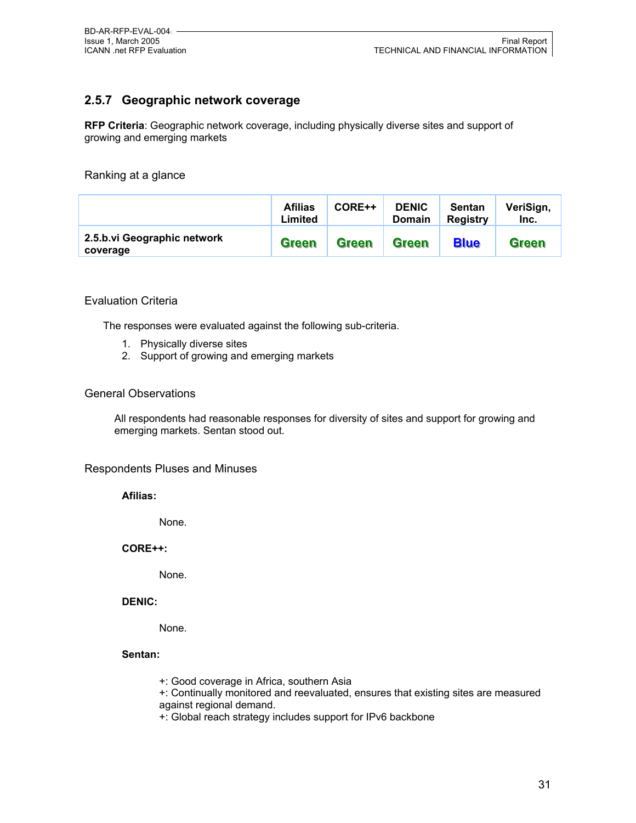## **2.5.7 Geographic network coverage**

**RFP Criteria**: Geographic network coverage, including physically diverse sites and support of growing and emerging markets

Ranking at a glance

|                                         | <b>Afilias</b><br>Limited | CORE++       | <b>DENIC</b><br><b>Domain</b> | <b>Sentan</b><br><b>Registry</b> | VeriSign,<br>Inc. |
|-----------------------------------------|---------------------------|--------------|-------------------------------|----------------------------------|-------------------|
| 2.5.b.vi Geographic network<br>coverage | <b>Green</b>              | <b>Green</b> | <b>Green</b>                  | <b>Blue</b>                      | <b>Green</b>      |

#### Evaluation Criteria

The responses were evaluated against the following sub-criteria.

- 1. Physically diverse sites
- 2. Support of growing and emerging markets

#### General Observations

All respondents had reasonable responses for diversity of sites and support for growing and emerging markets. Sentan stood out.

#### Respondents Pluses and Minuses

**Afilias:** 

None.

**CORE++:** 

None.

**DENIC:** 

None.

#### **Sentan:**

+: Good coverage in Africa, southern Asia

+: Continually monitored and reevaluated, ensures that existing sites are measured against regional demand.

+: Global reach strategy includes support for IPv6 backbone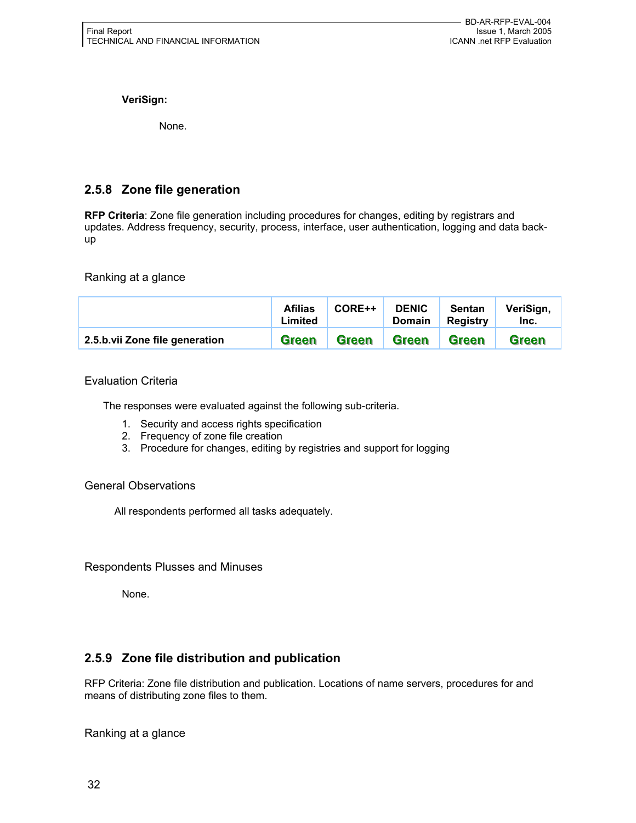**VeriSign:** 

None.

## **2.5.8 Zone file generation**

**RFP Criteria**: Zone file generation including procedures for changes, editing by registrars and updates. Address frequency, security, process, interface, user authentication, logging and data backup

#### Ranking at a glance

|                                | <b>Afilias</b><br>Limited | CORE++       | <b>DENIC</b><br><b>Domain</b> | <b>Sentan</b><br>Registry | VeriSign,<br>Inc. |
|--------------------------------|---------------------------|--------------|-------------------------------|---------------------------|-------------------|
| 2.5.b.vii Zone file generation | Green                     | <b>Green</b> | <b>Green</b>                  | <b>Green</b>              | <b>Green</b>      |

#### Evaluation Criteria

The responses were evaluated against the following sub-criteria.

- 1. Security and access rights specification
- 2. Frequency of zone file creation
- 3. Procedure for changes, editing by registries and support for logging

#### General Observations

All respondents performed all tasks adequately.

Respondents Plusses and Minuses

None.

## **2.5.9 Zone file distribution and publication**

RFP Criteria: Zone file distribution and publication. Locations of name servers, procedures for and means of distributing zone files to them.

Ranking at a glance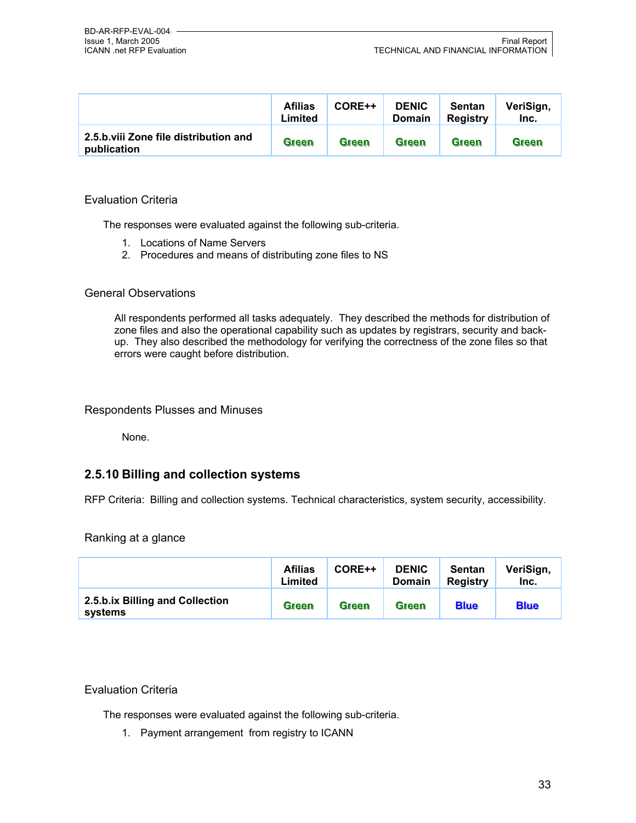|                                                       | <b>Afilias</b><br>Limited | CORE++       | <b>DENIC</b><br><b>Domain</b> | Sentan<br><b>Registry</b> | VeriSign,<br>Inc. |
|-------------------------------------------------------|---------------------------|--------------|-------------------------------|---------------------------|-------------------|
| 2.5.b. viij Zone file distribution and<br>publication | Green                     | <b>Green</b> | <b>Green</b>                  | <b>Green</b>              | <b>Green</b>      |

#### Evaluation Criteria

The responses were evaluated against the following sub-criteria.

- 1. Locations of Name Servers
- 2. Procedures and means of distributing zone files to NS

#### General Observations

All respondents performed all tasks adequately. They described the methods for distribution of zone files and also the operational capability such as updates by registrars, security and backup. They also described the methodology for verifying the correctness of the zone files so that errors were caught before distribution.

Respondents Plusses and Minuses

None.

### **2.5.10 Billing and collection systems**

RFP Criteria: Billing and collection systems. Technical characteristics, system security, accessibility.

Ranking at a glance

|                                            | <b>Afilias</b><br>Limited | CORE++       | <b>DENIC</b><br><b>Domain</b> | <b>Sentan</b><br>Registry | VeriSign,<br>Inc. |
|--------------------------------------------|---------------------------|--------------|-------------------------------|---------------------------|-------------------|
| 2.5.b.ix Billing and Collection<br>systems | Green                     | <b>Green</b> | Green                         | <b>Blue</b>               | <b>Blue</b>       |

#### Evaluation Criteria

The responses were evaluated against the following sub-criteria.

1. Payment arrangement from registry to ICANN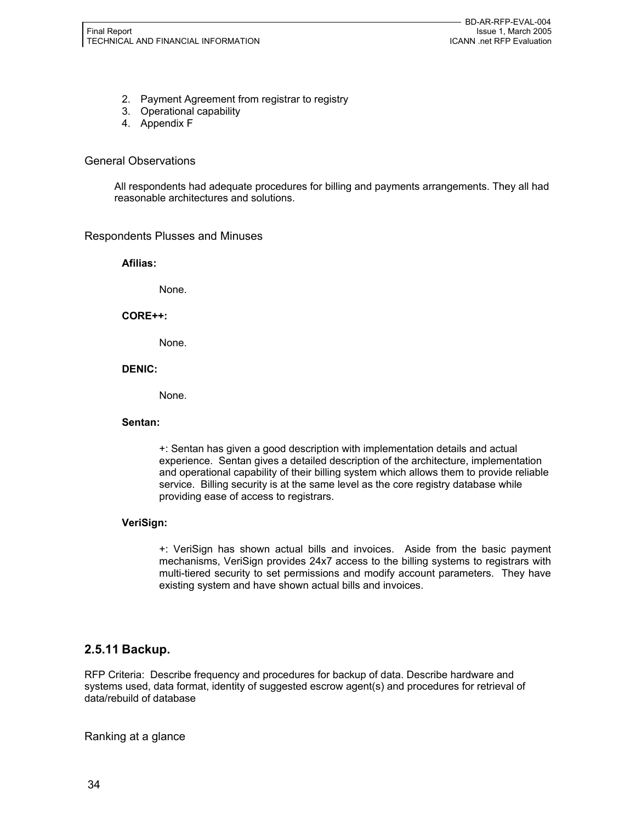- 2. Payment Agreement from registrar to registry
- 3. Operational capability
- 4. Appendix F

#### General Observations

All respondents had adequate procedures for billing and payments arrangements. They all had reasonable architectures and solutions.

#### Respondents Plusses and Minuses

**Afilias:** 

None.

#### **CORE++:**

None.

#### **DENIC:**

None.

#### **Sentan:**

+: Sentan has given a good description with implementation details and actual experience. Sentan gives a detailed description of the architecture, implementation and operational capability of their billing system which allows them to provide reliable service. Billing security is at the same level as the core registry database while providing ease of access to registrars.

#### **VeriSign:**

+: VeriSign has shown actual bills and invoices. Aside from the basic payment mechanisms, VeriSign provides 24x7 access to the billing systems to registrars with multi-tiered security to set permissions and modify account parameters. They have existing system and have shown actual bills and invoices.

#### **2.5.11 Backup.**

RFP Criteria: Describe frequency and procedures for backup of data. Describe hardware and systems used, data format, identity of suggested escrow agent(s) and procedures for retrieval of data/rebuild of database

Ranking at a glance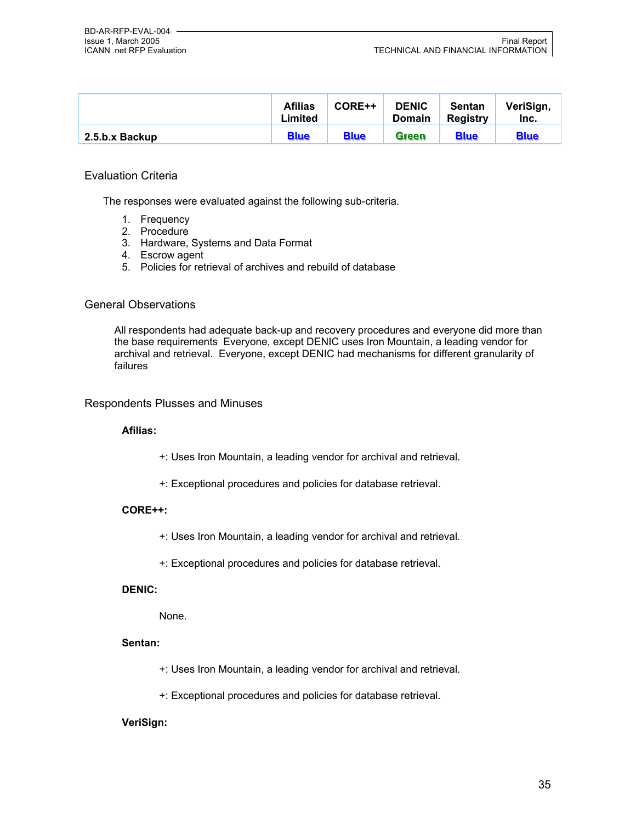|                | <b>Afilias</b><br>Limited | CORE++      | <b>DENIC</b><br><b>Domain</b> | <b>Sentan</b><br>Registry | VeriSign,<br>Inc. |
|----------------|---------------------------|-------------|-------------------------------|---------------------------|-------------------|
| 2.5.b.x Backup | <b>Blue</b>               | <b>Blue</b> | <b>Green</b>                  | <b>Blue</b>               | <b>Blue</b>       |

#### Evaluation Criteria

The responses were evaluated against the following sub-criteria.

- 1. Frequency
- 2. Procedure
- 3. Hardware, Systems and Data Format
- 4. Escrow agent
- 5. Policies for retrieval of archives and rebuild of database

#### General Observations

All respondents had adequate back-up and recovery procedures and everyone did more than the base requirements Everyone, except DENIC uses Iron Mountain, a leading vendor for archival and retrieval. Everyone, except DENIC had mechanisms for different granularity of failures

#### Respondents Plusses and Minuses

#### **Afilias:**

- +: Uses Iron Mountain, a leading vendor for archival and retrieval.
- +: Exceptional procedures and policies for database retrieval.

#### **CORE++:**

- +: Uses Iron Mountain, a leading vendor for archival and retrieval.
- +: Exceptional procedures and policies for database retrieval.

#### **DENIC:**

None.

#### **Sentan:**

- +: Uses Iron Mountain, a leading vendor for archival and retrieval.
- +: Exceptional procedures and policies for database retrieval.

#### **VeriSign:**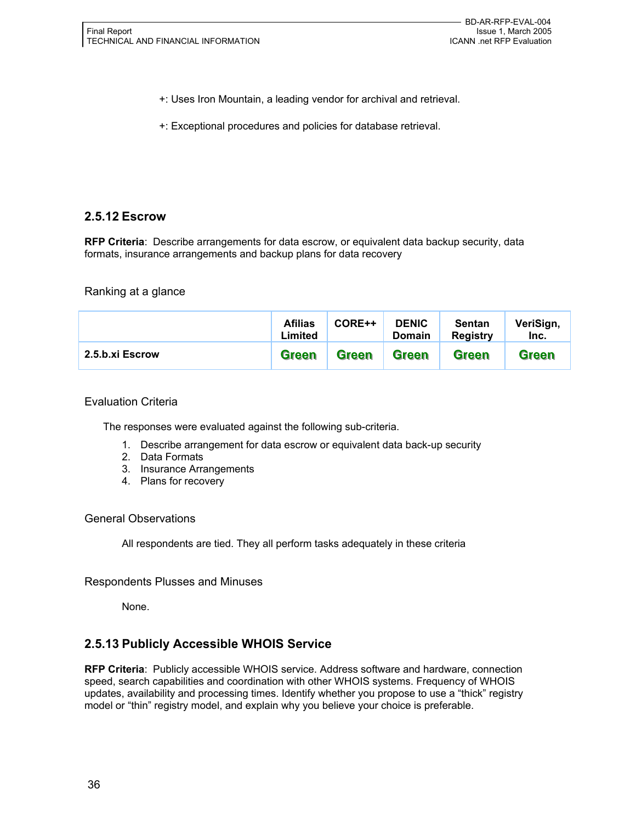- +: Uses Iron Mountain, a leading vendor for archival and retrieval.
- +: Exceptional procedures and policies for database retrieval.

### **2.5.12 Escrow**

**RFP Criteria**: Describe arrangements for data escrow, or equivalent data backup security, data formats, insurance arrangements and backup plans for data recovery

#### Ranking at a glance

|                 | <b>Afilias</b><br>Limited | CORE++ | <b>DENIC</b><br><b>Domain</b> | Sentan<br><b>Registry</b> | VeriSign,<br>Inc. |
|-----------------|---------------------------|--------|-------------------------------|---------------------------|-------------------|
| 2.5.b.xi Escrow | <b>Green</b>              | Green  | <b>Green</b>                  | <b>Green</b>              | <b>Green</b>      |

#### Evaluation Criteria

The responses were evaluated against the following sub-criteria.

- 1. Describe arrangement for data escrow or equivalent data back-up security
- 2. Data Formats
- 3. Insurance Arrangements
- 4. Plans for recovery

#### General Observations

All respondents are tied. They all perform tasks adequately in these criteria

#### Respondents Plusses and Minuses

None.

#### **2.5.13 Publicly Accessible WHOIS Service**

**RFP Criteria**: Publicly accessible WHOIS service. Address software and hardware, connection speed, search capabilities and coordination with other WHOIS systems. Frequency of WHOIS updates, availability and processing times. Identify whether you propose to use a "thick" registry model or "thin" registry model, and explain why you believe your choice is preferable.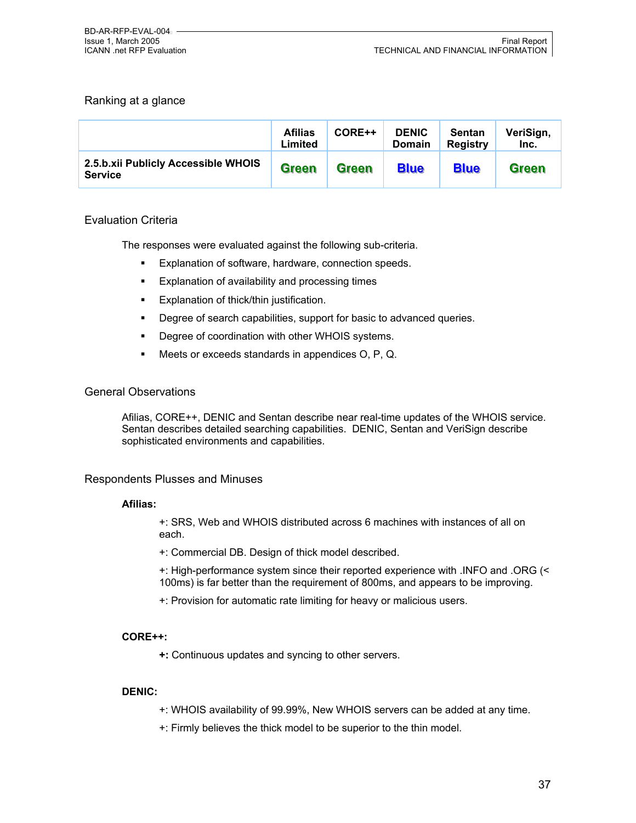#### Ranking at a glance

|                                                       | <b>Afilias</b><br>Limited | CORE++       | <b>DENIC</b><br><b>Domain</b> | <b>Sentan</b><br>Registry | VeriSign,<br>Inc. |
|-------------------------------------------------------|---------------------------|--------------|-------------------------------|---------------------------|-------------------|
| 2.5.b.xii Publicly Accessible WHOIS<br><b>Service</b> | <b>Green</b>              | <b>Green</b> | <b>Blue</b>                   | <b>Blue</b>               | <b>Green</b>      |

#### Evaluation Criteria

The responses were evaluated against the following sub-criteria.

- Explanation of software, hardware, connection speeds.
- **Explanation of availability and processing times**
- Explanation of thick/thin justification.
- Degree of search capabilities, support for basic to advanced queries.
- Degree of coordination with other WHOIS systems.
- Meets or exceeds standards in appendices O, P, Q.

#### General Observations

Afilias, CORE++, DENIC and Sentan describe near real-time updates of the WHOIS service. Sentan describes detailed searching capabilities. DENIC, Sentan and VeriSign describe sophisticated environments and capabilities.

#### Respondents Plusses and Minuses

#### **Afilias:**

+: SRS, Web and WHOIS distributed across 6 machines with instances of all on each.

+: Commercial DB. Design of thick model described.

+: High-performance system since their reported experience with .INFO and .ORG (< 100ms) is far better than the requirement of 800ms, and appears to be improving.

+: Provision for automatic rate limiting for heavy or malicious users.

#### **CORE++:**

**+:** Continuous updates and syncing to other servers.

#### **DENIC:**

- +: WHOIS availability of 99.99%, New WHOIS servers can be added at any time.
- +: Firmly believes the thick model to be superior to the thin model.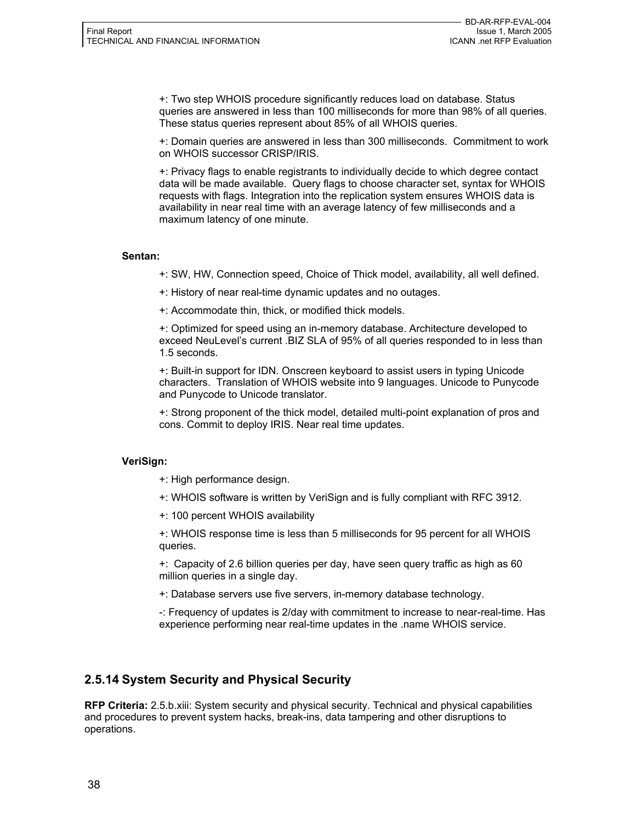+: Two step WHOIS procedure significantly reduces load on database. Status queries are answered in less than 100 milliseconds for more than 98% of all queries. These status queries represent about 85% of all WHOIS queries.

+: Domain queries are answered in less than 300 milliseconds. Commitment to work on WHOIS successor CRISP/IRIS.

+: Privacy flags to enable registrants to individually decide to which degree contact data will be made available. Query flags to choose character set, syntax for WHOIS requests with flags. Integration into the replication system ensures WHOIS data is availability in near real time with an average latency of few milliseconds and a maximum latency of one minute.

#### **Sentan:**

+: SW, HW, Connection speed, Choice of Thick model, availability, all well defined.

+: History of near real-time dynamic updates and no outages.

+: Accommodate thin, thick, or modified thick models.

+: Optimized for speed using an in-memory database. Architecture developed to exceed NeuLevel's current .BIZ SLA of 95% of all queries responded to in less than 1.5 seconds.

+: Built-in support for IDN. Onscreen keyboard to assist users in typing Unicode characters. Translation of WHOIS website into 9 languages. Unicode to Punycode and Punycode to Unicode translator.

+: Strong proponent of the thick model, detailed multi-point explanation of pros and cons. Commit to deploy IRIS. Near real time updates.

#### **VeriSign:**

- +: High performance design.
- +: WHOIS software is written by VeriSign and is fully compliant with RFC 3912.
- +: 100 percent WHOIS availability

+: WHOIS response time is less than 5 milliseconds for 95 percent for all WHOIS queries.

+: Capacity of 2.6 billion queries per day, have seen query traffic as high as 60 million queries in a single day.

+: Database servers use five servers, in-memory database technology.

-: Frequency of updates is 2/day with commitment to increase to near-real-time. Has experience performing near real-time updates in the .name WHOIS service.

### **2.5.14 System Security and Physical Security**

**RFP Criteria:** 2.5.b.xiii: System security and physical security. Technical and physical capabilities and procedures to prevent system hacks, break-ins, data tampering and other disruptions to operations.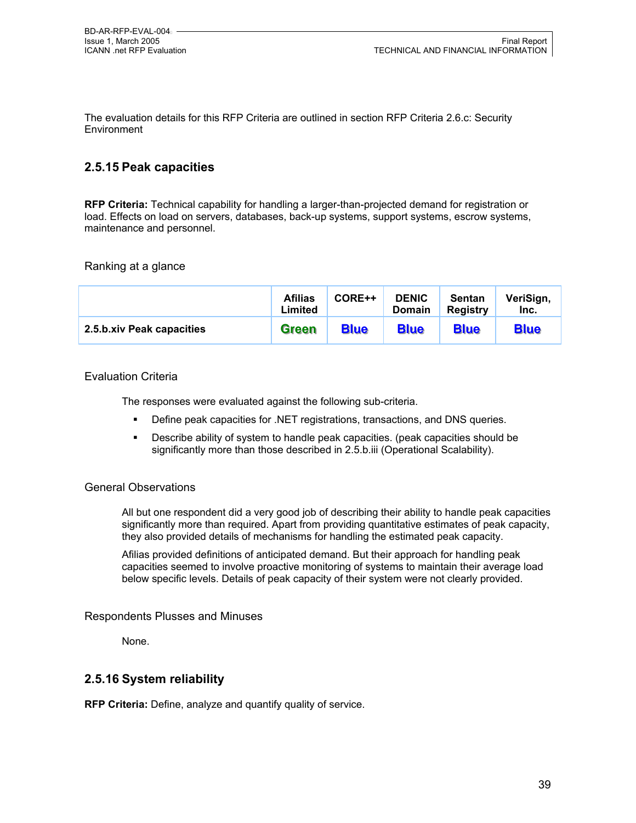The evaluation details for this RFP Criteria are outlined in section RFP Criteria 2.6.c: Security Environment

### **2.5.15 Peak capacities**

**RFP Criteria:** Technical capability for handling a larger-than-projected demand for registration or load. Effects on load on servers, databases, back-up systems, support systems, escrow systems, maintenance and personnel.

Ranking at a glance

|                           | <b>Afilias</b><br>Limited | CORE++      | <b>DENIC</b><br><b>Domain</b> | <b>Sentan</b><br>Registry | VeriSign,<br>Inc. |
|---------------------------|---------------------------|-------------|-------------------------------|---------------------------|-------------------|
| 2.5.b.xiv Peak capacities | <b>Green</b>              | <b>Blue</b> | <b>Blue</b>                   | <b>Blue</b>               | <b>Blue</b>       |

#### Evaluation Criteria

The responses were evaluated against the following sub-criteria.

- Define peak capacities for .NET registrations, transactions, and DNS queries.
- Describe ability of system to handle peak capacities. (peak capacities should be significantly more than those described in 2.5.b.iii (Operational Scalability).

#### General Observations

All but one respondent did a very good job of describing their ability to handle peak capacities significantly more than required. Apart from providing quantitative estimates of peak capacity, they also provided details of mechanisms for handling the estimated peak capacity.

Afilias provided definitions of anticipated demand. But their approach for handling peak capacities seemed to involve proactive monitoring of systems to maintain their average load below specific levels. Details of peak capacity of their system were not clearly provided.

#### Respondents Plusses and Minuses

None.

#### **2.5.16 System reliability**

**RFP Criteria:** Define, analyze and quantify quality of service.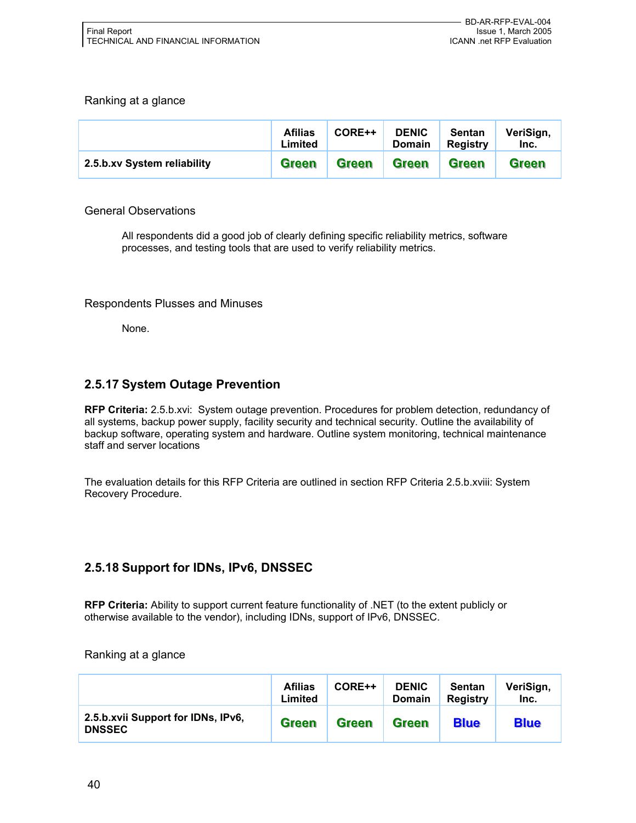#### Ranking at a glance

|                             | <b>Afilias</b><br>Limited | CORE++       | <b>DENIC</b><br><b>Domain</b> | Sentan<br>Registry | VeriSign,<br>Inc. |
|-----------------------------|---------------------------|--------------|-------------------------------|--------------------|-------------------|
| 2.5.b.xv System reliability | <b>Green</b>              | <b>Green</b> | <b>Green</b>                  | <b>Green</b>       | <b>Green</b>      |

#### General Observations

All respondents did a good job of clearly defining specific reliability metrics, software processes, and testing tools that are used to verify reliability metrics.

#### Respondents Plusses and Minuses

None.

### **2.5.17 System Outage Prevention**

**RFP Criteria:** 2.5.b.xvi: System outage prevention. Procedures for problem detection, redundancy of all systems, backup power supply, facility security and technical security. Outline the availability of backup software, operating system and hardware. Outline system monitoring, technical maintenance staff and server locations

The evaluation details for this RFP Criteria are outlined in section RFP Criteria 2.5.b.xviii: System Recovery Procedure.

### **2.5.18 Support for IDNs, IPv6, DNSSEC**

**RFP Criteria:** Ability to support current feature functionality of .NET (to the extent publicly or otherwise available to the vendor), including IDNs, support of IPv6, DNSSEC.

Ranking at a glance

|                                                     | <b>Afilias</b><br>∟imited | CORE++       | <b>DENIC</b><br><b>Domain</b> | Sentan<br><b>Registry</b> | VeriSign,<br>Inc. |
|-----------------------------------------------------|---------------------------|--------------|-------------------------------|---------------------------|-------------------|
| 2.5.b.xvii Support for IDNs, IPv6,<br><b>DNSSEC</b> | <b>Green</b>              | <b>Green</b> | <b>Green</b>                  | <b>Blue</b>               | <b>Blue</b>       |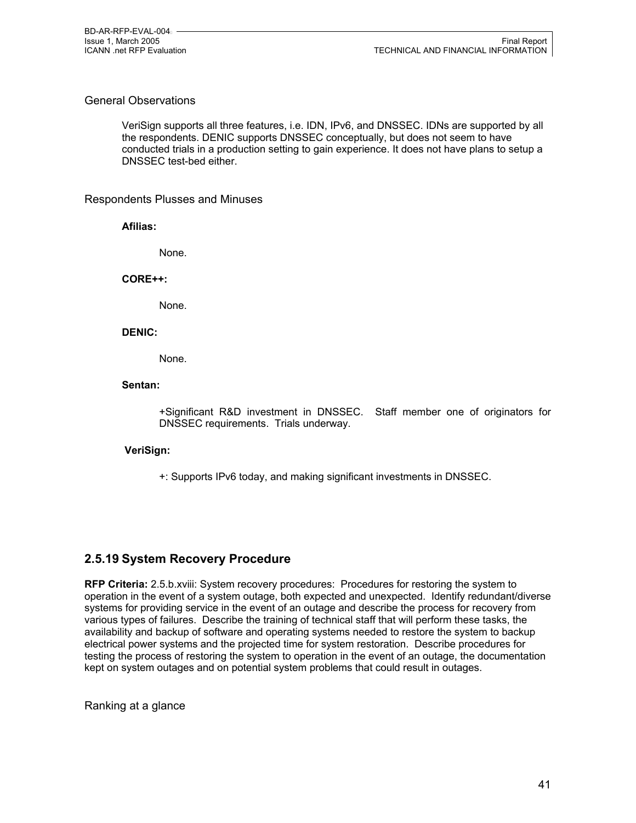#### General Observations

VeriSign supports all three features, i.e. IDN, IPv6, and DNSSEC. IDNs are supported by all the respondents. DENIC supports DNSSEC conceptually, but does not seem to have conducted trials in a production setting to gain experience. It does not have plans to setup a DNSSEC test-bed either.

#### Respondents Plusses and Minuses

**Afilias:** 

None.

**CORE++:** 

None.

#### **DENIC:**

None.

#### **Sentan:**

+Significant R&D investment in DNSSEC. Staff member one of originators for DNSSEC requirements. Trials underway.

#### **VeriSign:**

+: Supports IPv6 today, and making significant investments in DNSSEC.

#### **2.5.19 System Recovery Procedure**

**RFP Criteria:** 2.5.b.xviii: System recovery procedures: Procedures for restoring the system to operation in the event of a system outage, both expected and unexpected. Identify redundant/diverse systems for providing service in the event of an outage and describe the process for recovery from various types of failures. Describe the training of technical staff that will perform these tasks, the availability and backup of software and operating systems needed to restore the system to backup electrical power systems and the projected time for system restoration. Describe procedures for testing the process of restoring the system to operation in the event of an outage, the documentation kept on system outages and on potential system problems that could result in outages.

Ranking at a glance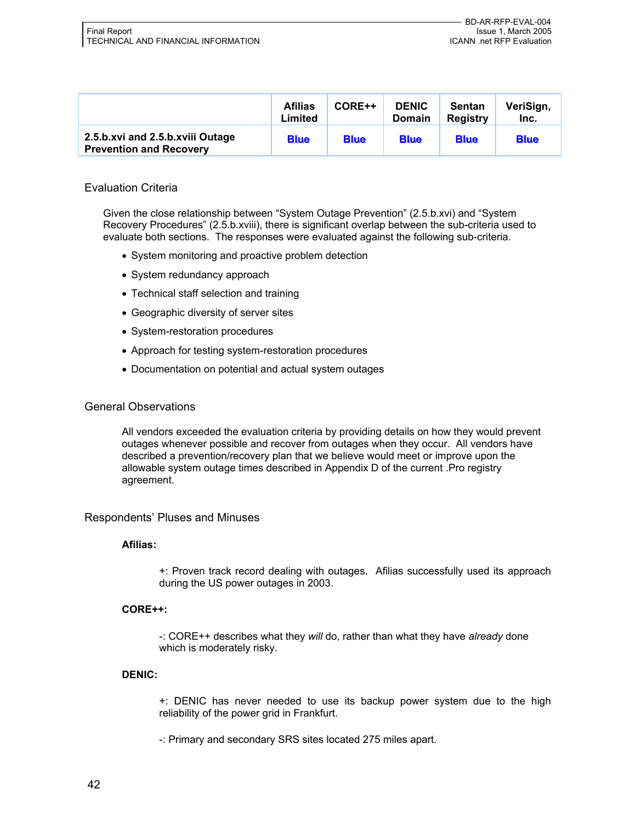|                                                                    | <b>Afilias</b><br>Limited | CORE++      | <b>DENIC</b><br><b>Domain</b> | Sentan<br><b>Registry</b> | VeriSign,<br>Inc. |
|--------------------------------------------------------------------|---------------------------|-------------|-------------------------------|---------------------------|-------------------|
| 2.5.b.xvi and 2.5.b.xviii Outage<br><b>Prevention and Recovery</b> | <b>Blue</b>               | <b>Blue</b> | <b>Blue</b>                   | <b>Blue</b>               | <b>Blue</b>       |

#### Evaluation Criteria

Given the close relationship between "System Outage Prevention" (2.5.b.xvi) and "System Recovery Procedures" (2.5.b.xviii), there is significant overlap between the sub-criteria used to evaluate both sections. The responses were evaluated against the following sub-criteria.

- System monitoring and proactive problem detection
- System redundancy approach
- Technical staff selection and training
- Geographic diversity of server sites
- System-restoration procedures
- Approach for testing system-restoration procedures
- Documentation on potential and actual system outages

#### General Observations

All vendors exceeded the evaluation criteria by providing details on how they would prevent outages whenever possible and recover from outages when they occur. All vendors have described a prevention/recovery plan that we believe would meet or improve upon the allowable system outage times described in Appendix D of the current .Pro registry agreement.

#### Respondents' Pluses and Minuses

#### **Afilias:**

+: Proven track record dealing with outages. Afilias successfully used its approach during the US power outages in 2003.

#### **CORE++:**

-: CORE++ describes what they *will* do, rather than what they have *already* done which is moderately risky.

#### **DENIC:**

+: DENIC has never needed to use its backup power system due to the high reliability of the power grid in Frankfurt.

-: Primary and secondary SRS sites located 275 miles apart.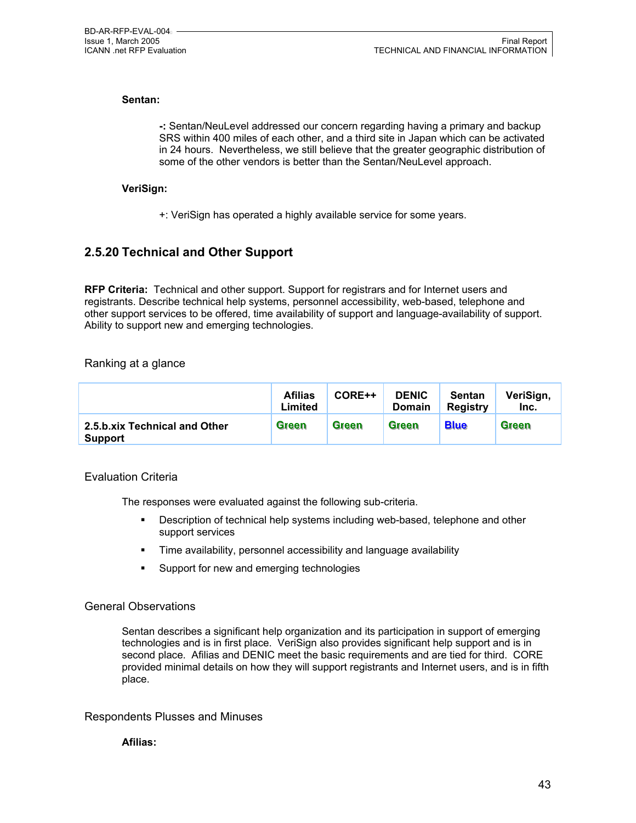#### **Sentan:**

**-:** Sentan/NeuLevel addressed our concern regarding having a primary and backup SRS within 400 miles of each other, and a third site in Japan which can be activated in 24 hours. Nevertheless, we still believe that the greater geographic distribution of some of the other vendors is better than the Sentan/NeuLevel approach.

#### **VeriSign:**

+: VeriSign has operated a highly available service for some years.

### **2.5.20 Technical and Other Support**

**RFP Criteria:** Technical and other support. Support for registrars and for Internet users and registrants. Describe technical help systems, personnel accessibility, web-based, telephone and other support services to be offered, time availability of support and language-availability of support. Ability to support new and emerging technologies.

#### Ranking at a glance

|                                                 | <b>Afilias</b><br>Limited | CORE++ | <b>DENIC</b><br><b>Domain</b> | Sentan<br><b>Registry</b> | VeriSign,<br>Inc. |
|-------------------------------------------------|---------------------------|--------|-------------------------------|---------------------------|-------------------|
| 2.5.b.xix Technical and Other<br><b>Support</b> | Green                     | Green  | <b>Green</b>                  | <b>Blue</b>               | Green             |

#### Evaluation Criteria

The responses were evaluated against the following sub-criteria.

- Description of technical help systems including web-based, telephone and other support services
- Time availability, personnel accessibility and language availability
- Support for new and emerging technologies

#### General Observations

Sentan describes a significant help organization and its participation in support of emerging technologies and is in first place. VeriSign also provides significant help support and is in second place. Afilias and DENIC meet the basic requirements and are tied for third. CORE provided minimal details on how they will support registrants and Internet users, and is in fifth place.

#### Respondents Plusses and Minuses

#### **Afilias:**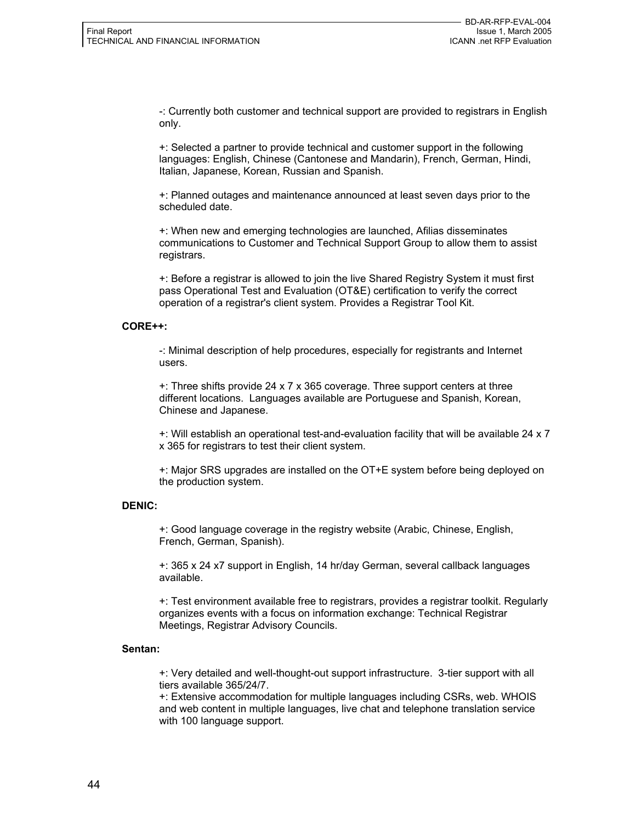-: Currently both customer and technical support are provided to registrars in English only.

+: Selected a partner to provide technical and customer support in the following languages: English, Chinese (Cantonese and Mandarin), French, German, Hindi, Italian, Japanese, Korean, Russian and Spanish.

+: Planned outages and maintenance announced at least seven days prior to the scheduled date.

+: When new and emerging technologies are launched, Afilias disseminates communications to Customer and Technical Support Group to allow them to assist registrars.

+: Before a registrar is allowed to join the live Shared Registry System it must first pass Operational Test and Evaluation (OT&E) certification to verify the correct operation of a registrar's client system. Provides a Registrar Tool Kit.

#### **CORE++:**

-: Minimal description of help procedures, especially for registrants and Internet users.

+: Three shifts provide 24 x 7 x 365 coverage. Three support centers at three different locations. Languages available are Portuguese and Spanish, Korean, Chinese and Japanese.

+: Will establish an operational test-and-evaluation facility that will be available 24 x 7 x 365 for registrars to test their client system.

+: Major SRS upgrades are installed on the OT+E system before being deployed on the production system.

#### **DENIC:**

+: Good language coverage in the registry website (Arabic, Chinese, English, French, German, Spanish).

+: 365 x 24 x7 support in English, 14 hr/day German, several callback languages available.

+: Test environment available free to registrars, provides a registrar toolkit. Regularly organizes events with a focus on information exchange: Technical Registrar Meetings, Registrar Advisory Councils.

#### **Sentan:**

+: Very detailed and well-thought-out support infrastructure. 3-tier support with all tiers available 365/24/7.

+: Extensive accommodation for multiple languages including CSRs, web. WHOIS and web content in multiple languages, live chat and telephone translation service with 100 language support.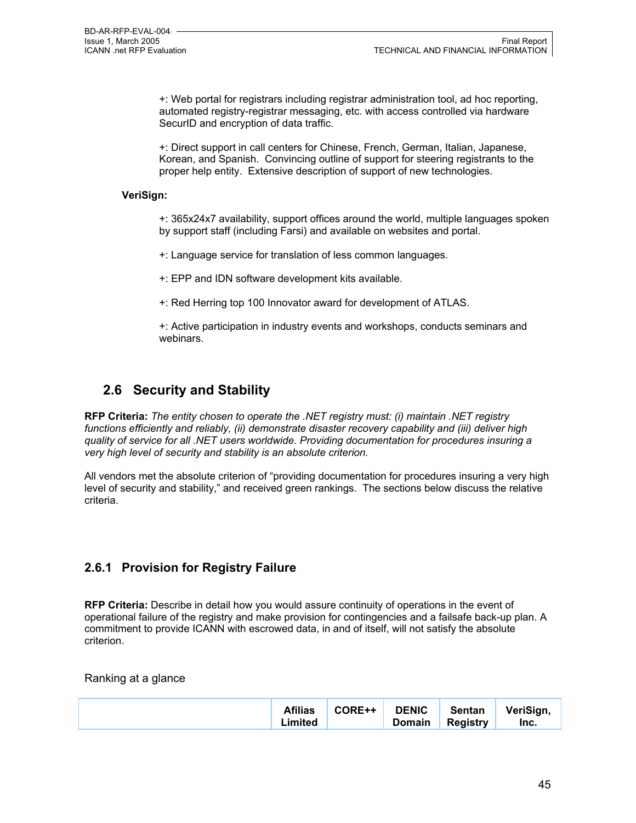+: Web portal for registrars including registrar administration tool, ad hoc reporting, automated registry-registrar messaging, etc. with access controlled via hardware SecurID and encryption of data traffic.

+: Direct support in call centers for Chinese, French, German, Italian, Japanese, Korean, and Spanish. Convincing outline of support for steering registrants to the proper help entity. Extensive description of support of new technologies.

#### **VeriSign:**

+: 365x24x7 availability, support offices around the world, multiple languages spoken by support staff (including Farsi) and available on websites and portal.

+: Language service for translation of less common languages.

+: EPP and IDN software development kits available.

+: Red Herring top 100 Innovator award for development of ATLAS.

+: Active participation in industry events and workshops, conducts seminars and webinars.

## **2.6 Security and Stability**

**RFP Criteria:** *The entity chosen to operate the .NET registry must: (i) maintain .NET registry functions efficiently and reliably, (ii) demonstrate disaster recovery capability and (iii) deliver high quality of service for all .NET users worldwide. Providing documentation for procedures insuring a very high level of security and stability is an absolute criterion.* 

All vendors met the absolute criterion of "providing documentation for procedures insuring a very high level of security and stability," and received green rankings. The sections below discuss the relative criteria.

### **2.6.1 Provision for Registry Failure**

**RFP Criteria:** Describe in detail how you would assure continuity of operations in the event of operational failure of the registry and make provision for contingencies and a failsafe back-up plan. A commitment to provide ICANN with escrowed data, in and of itself, will not satisfy the absolute criterion.

Ranking at a glance

|  | CORE++<br><b>Afilias</b><br>∟imited | <b>DENIC</b><br>Domain | <b>Sentan</b><br><b>Registry</b> | VeriSign,<br>Inc. |
|--|-------------------------------------|------------------------|----------------------------------|-------------------|
|--|-------------------------------------|------------------------|----------------------------------|-------------------|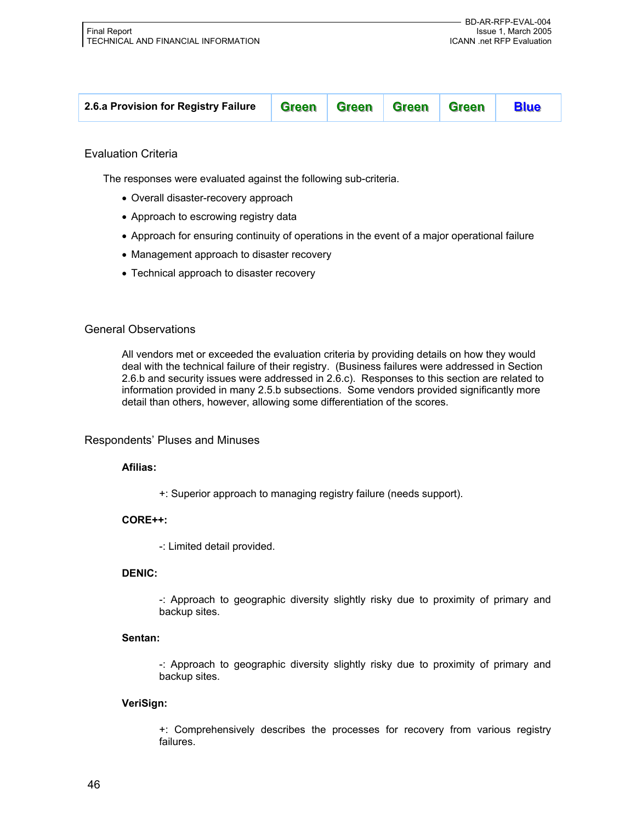| 2.6.a Provision for Registry Failure |  | Green Green Green Green |  |  | <b>Blue</b> |
|--------------------------------------|--|-------------------------|--|--|-------------|
|--------------------------------------|--|-------------------------|--|--|-------------|

#### Evaluation Criteria

The responses were evaluated against the following sub-criteria.

- Overall disaster-recovery approach
- Approach to escrowing registry data
- Approach for ensuring continuity of operations in the event of a major operational failure
- Management approach to disaster recovery
- Technical approach to disaster recovery

#### General Observations

All vendors met or exceeded the evaluation criteria by providing details on how they would deal with the technical failure of their registry. (Business failures were addressed in Section 2.6.b and security issues were addressed in 2.6.c). Responses to this section are related to information provided in many 2.5.b subsections. Some vendors provided significantly more detail than others, however, allowing some differentiation of the scores.

#### Respondents' Pluses and Minuses

#### **Afilias:**

+: Superior approach to managing registry failure (needs support).

#### **CORE++:**

-: Limited detail provided.

#### **DENIC:**

-: Approach to geographic diversity slightly risky due to proximity of primary and backup sites.

#### **Sentan:**

-: Approach to geographic diversity slightly risky due to proximity of primary and backup sites.

#### **VeriSign:**

+: Comprehensively describes the processes for recovery from various registry failures.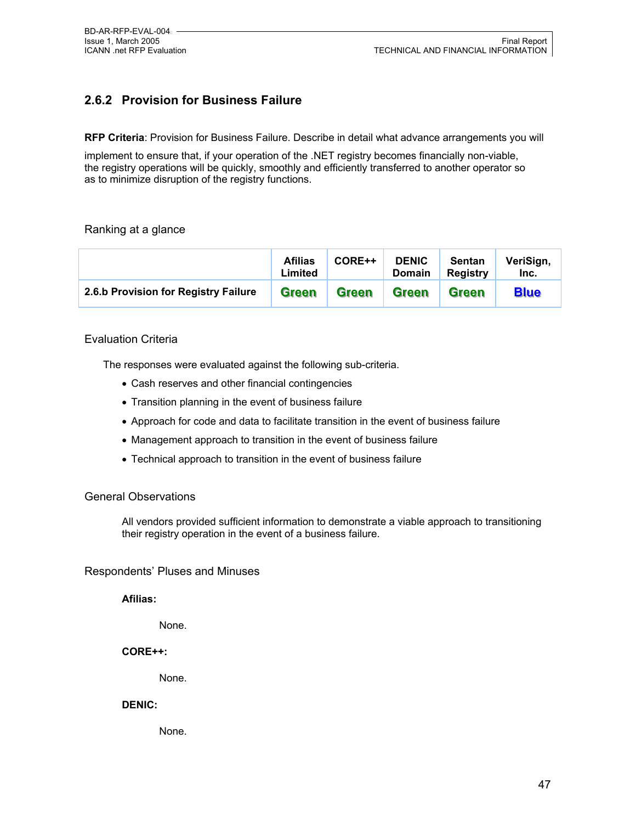## **2.6.2 Provision for Business Failure**

**RFP Criteria**: Provision for Business Failure. Describe in detail what advance arrangements you will

implement to ensure that, if your operation of the .NET registry becomes financially non-viable, the registry operations will be quickly, smoothly and efficiently transferred to another operator so as to minimize disruption of the registry functions.

#### Ranking at a glance

|                                      | <b>Afilias</b><br>Limited | CORE++       | <b>DENIC</b><br><b>Domain</b> | <b>Sentan</b><br>Registry | VeriSign,<br>Inc. |
|--------------------------------------|---------------------------|--------------|-------------------------------|---------------------------|-------------------|
| 2.6.b Provision for Registry Failure | <b>Green</b>              | <b>Green</b> | <b>Green</b>                  | <b>Green</b>              | <b>Blue</b>       |

#### Evaluation Criteria

The responses were evaluated against the following sub-criteria.

- Cash reserves and other financial contingencies
- Transition planning in the event of business failure
- Approach for code and data to facilitate transition in the event of business failure
- Management approach to transition in the event of business failure
- Technical approach to transition in the event of business failure

#### General Observations

All vendors provided sufficient information to demonstrate a viable approach to transitioning their registry operation in the event of a business failure.

#### Respondents' Pluses and Minuses

**Afilias:** 

None.

**CORE++:** 

None.

**DENIC:** 

None.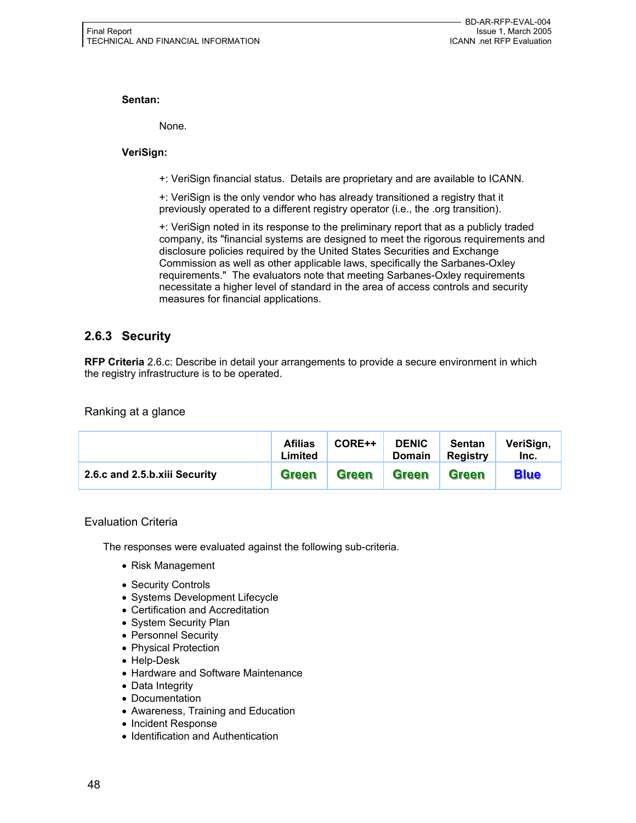#### **Sentan:**

None.

#### **VeriSign:**

+: VeriSign financial status. Details are proprietary and are available to ICANN.

+: VeriSign is the only vendor who has already transitioned a registry that it previously operated to a different registry operator (i.e., the .org transition).

+: VeriSign noted in its response to the preliminary report that as a publicly traded company, its "financial systems are designed to meet the rigorous requirements and disclosure policies required by the United States Securities and Exchange Commission as well as other applicable laws, specifically the Sarbanes-Oxley requirements." The evaluators note that meeting Sarbanes-Oxley requirements necessitate a higher level of standard in the area of access controls and security measures for financial applications.

## **2.6.3 Security**

**RFP Criteria** 2.6.c: Describe in detail your arrangements to provide a secure environment in which the registry infrastructure is to be operated.

Ranking at a glance

|                               | <b>Afilias</b><br>Limited | CORE++       | <b>DENIC</b><br><b>Domain</b> | <b>Sentan</b><br>Registry | VeriSign,<br>Inc. |
|-------------------------------|---------------------------|--------------|-------------------------------|---------------------------|-------------------|
| 2.6.c and 2.5.b.xiii Security | Green                     | <b>Green</b> | <b>Green</b>                  | <b>Green</b>              | <b>Blue</b>       |

#### Evaluation Criteria

The responses were evaluated against the following sub-criteria.

- Risk Management
- Security Controls
- Systems Development Lifecycle
- Certification and Accreditation
- System Security Plan
- Personnel Security
- Physical Protection
- Help-Desk
- Hardware and Software Maintenance
- Data Integrity
- Documentation
- Awareness, Training and Education
- Incident Response
- Identification and Authentication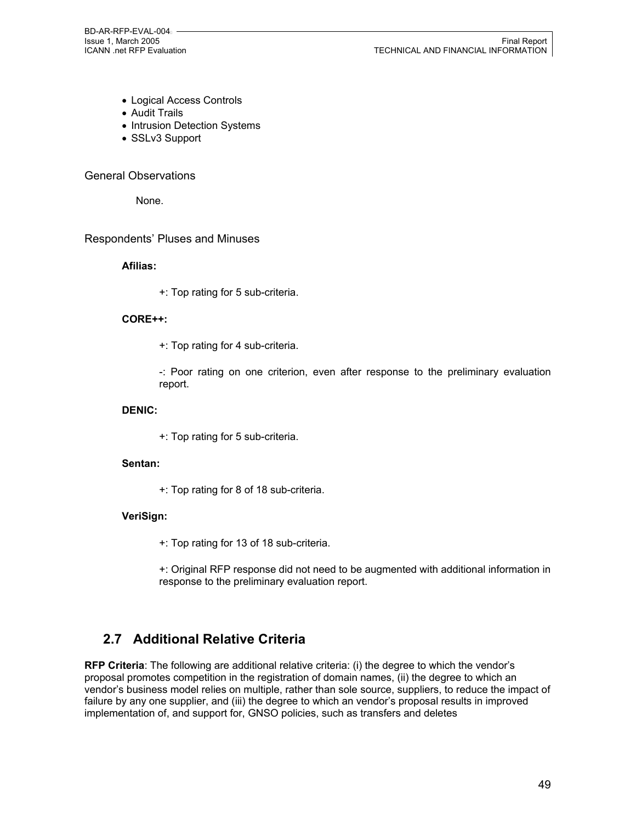BD-AR-RFP-EVAL-004

- Logical Access Controls
- Audit Trails
- Intrusion Detection Systems
- SSLv3 Support

#### General Observations

None.

#### Respondents' Pluses and Minuses

#### **Afilias:**

+: Top rating for 5 sub-criteria.

#### **CORE++:**

+: Top rating for 4 sub-criteria.

-: Poor rating on one criterion, even after response to the preliminary evaluation report.

#### **DENIC:**

+: Top rating for 5 sub-criteria.

#### **Sentan:**

+: Top rating for 8 of 18 sub-criteria.

#### **VeriSign:**

- +: Top rating for 13 of 18 sub-criteria.
- +: Original RFP response did not need to be augmented with additional information in response to the preliminary evaluation report.

## **2.7 Additional Relative Criteria**

**RFP Criteria**: The following are additional relative criteria: (i) the degree to which the vendor's proposal promotes competition in the registration of domain names, (ii) the degree to which an vendor's business model relies on multiple, rather than sole source, suppliers, to reduce the impact of failure by any one supplier, and (iii) the degree to which an vendor's proposal results in improved implementation of, and support for, GNSO policies, such as transfers and deletes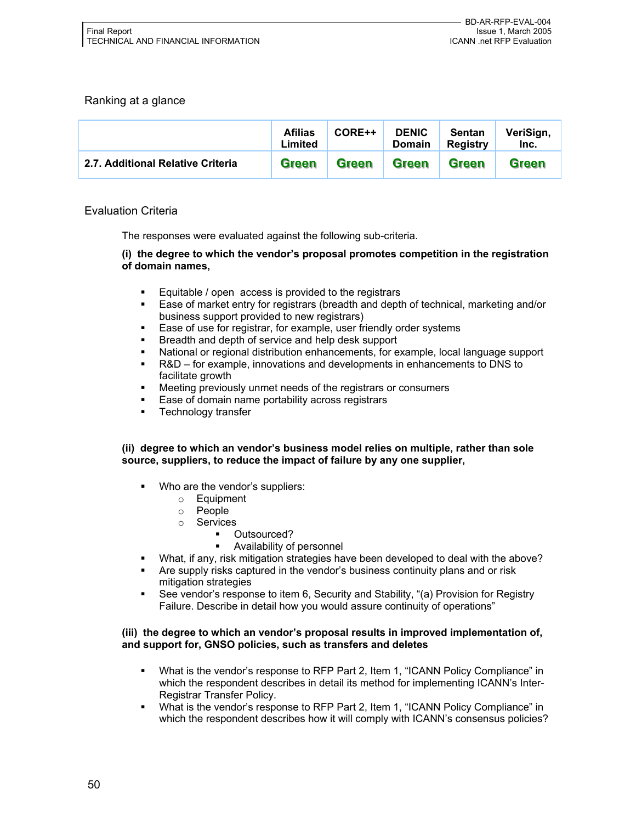#### Ranking at a glance

|                                   | <b>Afilias</b><br>Limited | CORE++       | <b>DENIC</b><br><b>Domain</b> | <b>Sentan</b><br>Registry | VeriSign,<br>Inc. |
|-----------------------------------|---------------------------|--------------|-------------------------------|---------------------------|-------------------|
| 2.7. Additional Relative Criteria | <b>Green</b>              | <b>Green</b> | <b>Green</b>                  | <b>Green</b>              | <b>Green</b>      |

#### Evaluation Criteria

The responses were evaluated against the following sub-criteria.

#### **(i) the degree to which the vendor's proposal promotes competition in the registration of domain names,**

- **Equitable / open access is provided to the registrars**
- Ease of market entry for registrars (breadth and depth of technical, marketing and/or business support provided to new registrars)
- Ease of use for registrar, for example, user friendly order systems
- Breadth and depth of service and help desk support
- National or regional distribution enhancements, for example, local language support
- R&D for example, innovations and developments in enhancements to DNS to facilitate growth
- Meeting previously unmet needs of the registrars or consumers
- Ease of domain name portability across registrars
- Technology transfer

#### **(ii) degree to which an vendor's business model relies on multiple, rather than sole source, suppliers, to reduce the impact of failure by any one supplier,**

- Who are the vendor's suppliers:
	- o Equipment
	- o People
	- o Services
		- Outsourced?
		- Availability of personnel
- What, if any, risk mitigation strategies have been developed to deal with the above?
- Are supply risks captured in the vendor's business continuity plans and or risk mitigation strategies
- See vendor's response to item 6, Security and Stability, "(a) Provision for Registry Failure. Describe in detail how you would assure continuity of operations"

#### **(iii) the degree to which an vendor's proposal results in improved implementation of, and support for, GNSO policies, such as transfers and deletes**

- What is the vendor's response to RFP Part 2, Item 1, "ICANN Policy Compliance" in which the respondent describes in detail its method for implementing ICANN's Inter-Registrar Transfer Policy.
- What is the vendor's response to RFP Part 2, Item 1, "ICANN Policy Compliance" in which the respondent describes how it will comply with ICANN's consensus policies?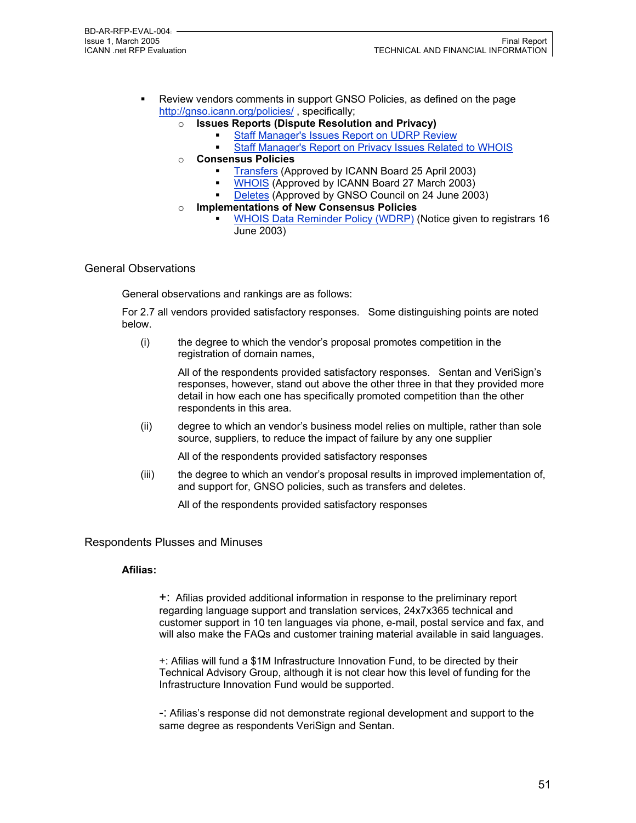- Review vendors comments in support GNSO Policies, as defined on the page http://gnso.icann.org/policies/ , specifically;
	- o **Issues Reports (Dispute Resolution and Privacy)**
		- Staff Manager's Issues Report on UDRP Review
		- **Staff Manager's Report on Privacy Issues Related to WHOIS**
	- o **Consensus Policies**
		- Transfers (Approved by ICANN Board 25 April 2003)
		- **WHOIS (Approved by ICANN Board 27 March 2003)**
		- Deletes (Approved by GNSO Council on 24 June 2003)
	- o **Implementations of New Consensus Policies**
		- WHOIS Data Reminder Policy (WDRP) (Notice given to registrars 16 June 2003)

#### General Observations

General observations and rankings are as follows:

For 2.7 all vendors provided satisfactory responses. Some distinguishing points are noted below.

(i) the degree to which the vendor's proposal promotes competition in the registration of domain names,

> All of the respondents provided satisfactory responses. Sentan and VeriSign's responses, however, stand out above the other three in that they provided more detail in how each one has specifically promoted competition than the other respondents in this area.

(ii) degree to which an vendor's business model relies on multiple, rather than sole source, suppliers, to reduce the impact of failure by any one supplier

All of the respondents provided satisfactory responses

(iii) the degree to which an vendor's proposal results in improved implementation of, and support for, GNSO policies, such as transfers and deletes.

All of the respondents provided satisfactory responses

#### Respondents Plusses and Minuses

#### **Afilias:**

+: Afilias provided additional information in response to the preliminary report regarding language support and translation services, 24x7x365 technical and customer support in 10 ten languages via phone, e-mail, postal service and fax, and will also make the FAQs and customer training material available in said languages.

+: Afilias will fund a \$1M Infrastructure Innovation Fund, to be directed by their Technical Advisory Group, although it is not clear how this level of funding for the Infrastructure Innovation Fund would be supported.

-: Afilias's response did not demonstrate regional development and support to the same degree as respondents VeriSign and Sentan.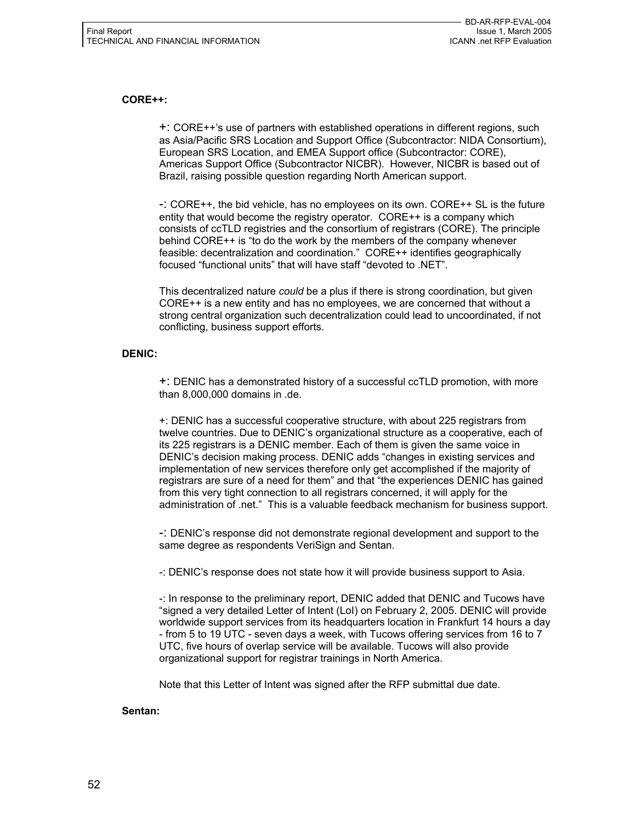#### **CORE++:**

+: CORE++'s use of partners with established operations in different regions, such as Asia/Pacific SRS Location and Support Office (Subcontractor: NIDA Consortium), European SRS Location, and EMEA Support office (Subcontractor: CORE), Americas Support Office (Subcontractor NICBR). However, NICBR is based out of Brazil, raising possible question regarding North American support.

-: CORE++, the bid vehicle, has no employees on its own. CORE++ SL is the future entity that would become the registry operator. CORE++ is a company which consists of ccTLD registries and the consortium of registrars (CORE). The principle behind CORE++ is "to do the work by the members of the company whenever feasible: decentralization and coordination." CORE++ identifies geographically focused "functional units" that will have staff "devoted to .NET".

This decentralized nature *could* be a plus if there is strong coordination, but given CORE++ is a new entity and has no employees, we are concerned that without a strong central organization such decentralization could lead to uncoordinated, if not conflicting, business support efforts.

#### **DENIC:**

+: DENIC has a demonstrated history of a successful ccTLD promotion, with more than 8,000,000 domains in .de.

+: DENIC has a successful cooperative structure, with about 225 registrars from twelve countries. Due to DENIC's organizational structure as a cooperative, each of its 225 registrars is a DENIC member. Each of them is given the same voice in DENIC's decision making process. DENIC adds "changes in existing services and implementation of new services therefore only get accomplished if the majority of registrars are sure of a need for them" and that "the experiences DENIC has gained from this very tight connection to all registrars concerned, it will apply for the administration of .net." This is a valuable feedback mechanism for business support.

-: DENIC's response did not demonstrate regional development and support to the same degree as respondents VeriSign and Sentan.

-: DENIC's response does not state how it will provide business support to Asia.

-: In response to the preliminary report, DENIC added that DENIC and Tucows have "signed a very detailed Letter of Intent (LoI) on February 2, 2005. DENIC will provide worldwide support services from its headquarters location in Frankfurt 14 hours a day - from 5 to 19 UTC - seven days a week, with Tucows offering services from 16 to 7 UTC, five hours of overlap service will be available. Tucows will also provide organizational support for registrar trainings in North America.

Note that this Letter of Intent was signed after the RFP submittal due date.

#### **Sentan:**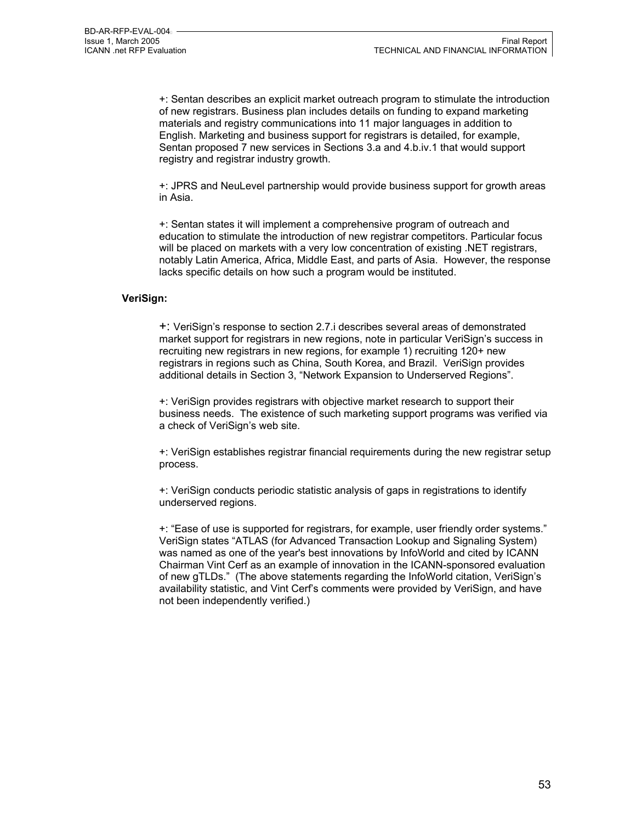+: Sentan describes an explicit market outreach program to stimulate the introduction of new registrars. Business plan includes details on funding to expand marketing materials and registry communications into 11 major languages in addition to English. Marketing and business support for registrars is detailed, for example, Sentan proposed 7 new services in Sections 3.a and 4.b.iv.1 that would support registry and registrar industry growth.

+: JPRS and NeuLevel partnership would provide business support for growth areas in Asia.

+: Sentan states it will implement a comprehensive program of outreach and education to stimulate the introduction of new registrar competitors. Particular focus will be placed on markets with a very low concentration of existing .NET registrars, notably Latin America, Africa, Middle East, and parts of Asia. However, the response lacks specific details on how such a program would be instituted.

#### **VeriSign:**

+: VeriSign's response to section 2.7.i describes several areas of demonstrated market support for registrars in new regions, note in particular VeriSign's success in recruiting new registrars in new regions, for example 1) recruiting 120+ new registrars in regions such as China, South Korea, and Brazil. VeriSign provides additional details in Section 3, "Network Expansion to Underserved Regions".

+: VeriSign provides registrars with objective market research to support their business needs. The existence of such marketing support programs was verified via a check of VeriSign's web site.

+: VeriSign establishes registrar financial requirements during the new registrar setup process.

+: VeriSign conducts periodic statistic analysis of gaps in registrations to identify underserved regions.

+: "Ease of use is supported for registrars, for example, user friendly order systems." VeriSign states "ATLAS (for Advanced Transaction Lookup and Signaling System) was named as one of the year's best innovations by InfoWorld and cited by ICANN Chairman Vint Cerf as an example of innovation in the ICANN-sponsored evaluation of new gTLDs." (The above statements regarding the InfoWorld citation, VeriSign's availability statistic, and Vint Cerf's comments were provided by VeriSign, and have not been independently verified.)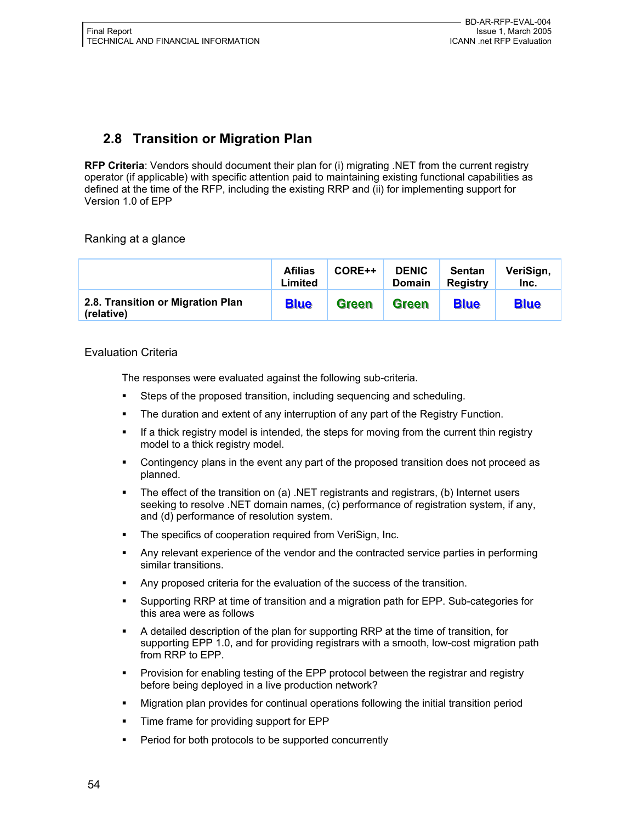## **2.8 Transition or Migration Plan**

**RFP Criteria**: Vendors should document their plan for (i) migrating .NET from the current registry operator (if applicable) with specific attention paid to maintaining existing functional capabilities as defined at the time of the RFP, including the existing RRP and (ii) for implementing support for Version 1.0 of EPP

Ranking at a glance

|                                                 | <b>Afilias</b><br>Limited | CORE++       | <b>DENIC</b><br><b>Domain</b> | Sentan<br><b>Registry</b> | VeriSign,<br>Inc. |
|-------------------------------------------------|---------------------------|--------------|-------------------------------|---------------------------|-------------------|
| 2.8. Transition or Migration Plan<br>(relative) | <b>Blue</b>               | <b>Green</b> | <b>Green</b>                  | <b>Blue</b>               | <b>Blue</b>       |

#### Evaluation Criteria

The responses were evaluated against the following sub-criteria.

- Steps of the proposed transition, including sequencing and scheduling.
- The duration and extent of any interruption of any part of the Registry Function.
- If a thick registry model is intended, the steps for moving from the current thin registry model to a thick registry model.
- **Contingency plans in the event any part of the proposed transition does not proceed as** planned.
- The effect of the transition on (a) .NET registrants and registrars, (b) Internet users seeking to resolve .NET domain names, (c) performance of registration system, if any, and (d) performance of resolution system.
- The specifics of cooperation required from VeriSign, Inc.
- Any relevant experience of the vendor and the contracted service parties in performing similar transitions.
- Any proposed criteria for the evaluation of the success of the transition.
- Supporting RRP at time of transition and a migration path for EPP. Sub-categories for this area were as follows
- A detailed description of the plan for supporting RRP at the time of transition, for supporting EPP 1.0, and for providing registrars with a smooth, low-cost migration path from RRP to EPP.
- Provision for enabling testing of the EPP protocol between the registrar and registry before being deployed in a live production network?
- Migration plan provides for continual operations following the initial transition period
- Time frame for providing support for EPP
- **Period for both protocols to be supported concurrently**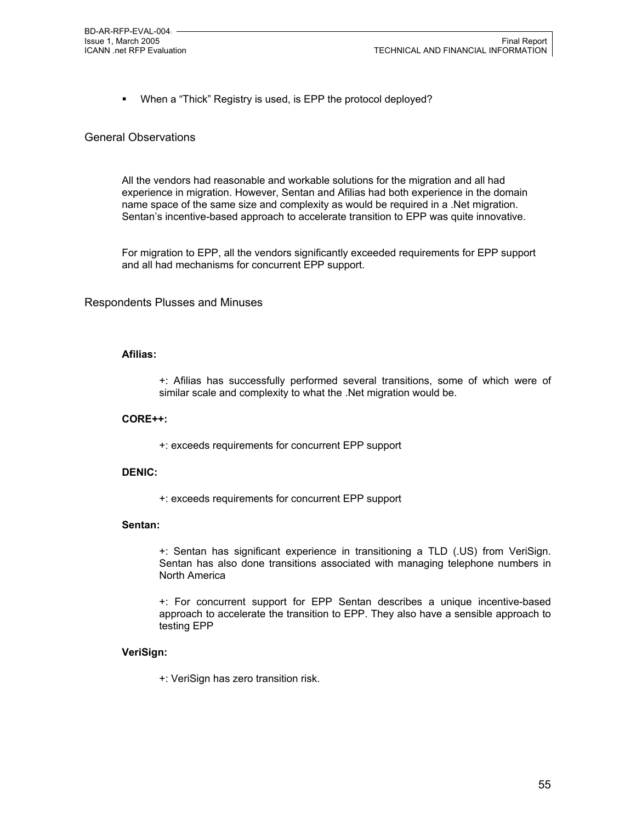When a "Thick" Registry is used, is EPP the protocol deployed?

#### General Observations

All the vendors had reasonable and workable solutions for the migration and all had experience in migration. However, Sentan and Afilias had both experience in the domain name space of the same size and complexity as would be required in a .Net migration. Sentan's incentive-based approach to accelerate transition to EPP was quite innovative.

For migration to EPP, all the vendors significantly exceeded requirements for EPP support and all had mechanisms for concurrent EPP support.

#### Respondents Plusses and Minuses

#### **Afilias:**

+: Afilias has successfully performed several transitions, some of which were of similar scale and complexity to what the .Net migration would be.

#### **CORE++:**

+: exceeds requirements for concurrent EPP support

#### **DENIC:**

+: exceeds requirements for concurrent EPP support

#### **Sentan:**

+: Sentan has significant experience in transitioning a TLD (.US) from VeriSign. Sentan has also done transitions associated with managing telephone numbers in North America

+: For concurrent support for EPP Sentan describes a unique incentive-based approach to accelerate the transition to EPP. They also have a sensible approach to testing EPP

#### **VeriSign:**

+: VeriSign has zero transition risk.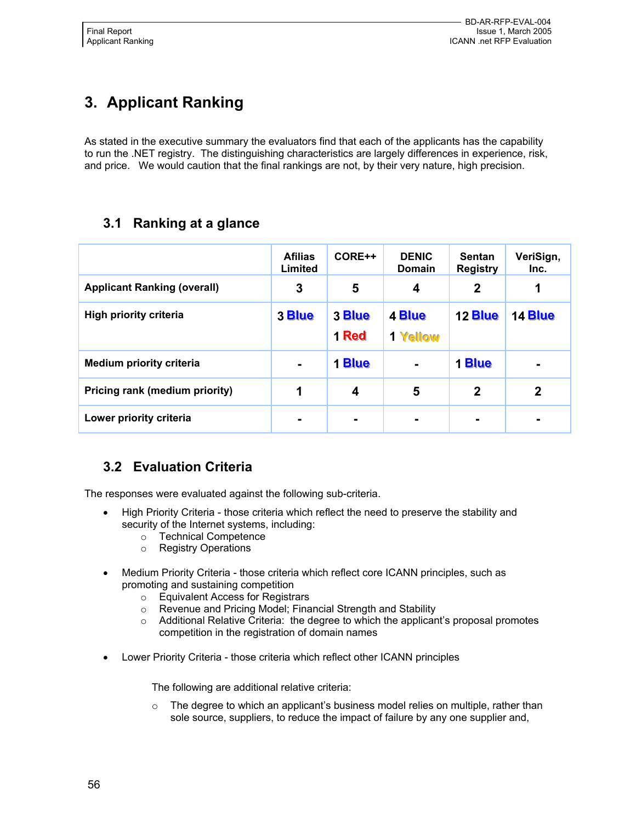## **3. Applicant Ranking**

As stated in the executive summary the evaluators find that each of the applicants has the capability to run the .NET registry. The distinguishing characteristics are largely differences in experience, risk, and price. We would caution that the final rankings are not, by their very nature, high precision.

## **3.1 Ranking at a glance**

|                                    | <b>Afilias</b><br>Limited | CORE++          | <b>DENIC</b><br>Domain | <b>Sentan</b><br><b>Registry</b> | VeriSign,<br>Inc. |
|------------------------------------|---------------------------|-----------------|------------------------|----------------------------------|-------------------|
| <b>Applicant Ranking (overall)</b> | 3                         | 5               | 4                      | $\mathbf 2$                      | 1                 |
| High priority criteria             | 3 Blue                    | 3 Blue<br>1 Red | 4 Blue<br>1 Yellow     | 12 Blue                          | <b>14 Blue</b>    |
| <b>Medium priority criteria</b>    | $\blacksquare$            | 1 Blue          |                        | 1 Blue                           | $\blacksquare$    |
| Pricing rank (medium priority)     | 1                         | 4               | 5                      | $\mathbf 2$                      | $\mathbf 2$       |
| Lower priority criteria            |                           | $\blacksquare$  |                        | ۰.                               |                   |

## **3.2 Evaluation Criteria**

The responses were evaluated against the following sub-criteria.

- High Priority Criteria those criteria which reflect the need to preserve the stability and security of the Internet systems, including:
	- o Technical Competence
	- o Registry Operations
- Medium Priority Criteria those criteria which reflect core ICANN principles, such as promoting and sustaining competition
	- o Equivalent Access for Registrars
	- o Revenue and Pricing Model; Financial Strength and Stability
	- o Additional Relative Criteria: the degree to which the applicant's proposal promotes competition in the registration of domain names
- Lower Priority Criteria those criteria which reflect other ICANN principles

The following are additional relative criteria:

 $\circ$  The degree to which an applicant's business model relies on multiple, rather than sole source, suppliers, to reduce the impact of failure by any one supplier and,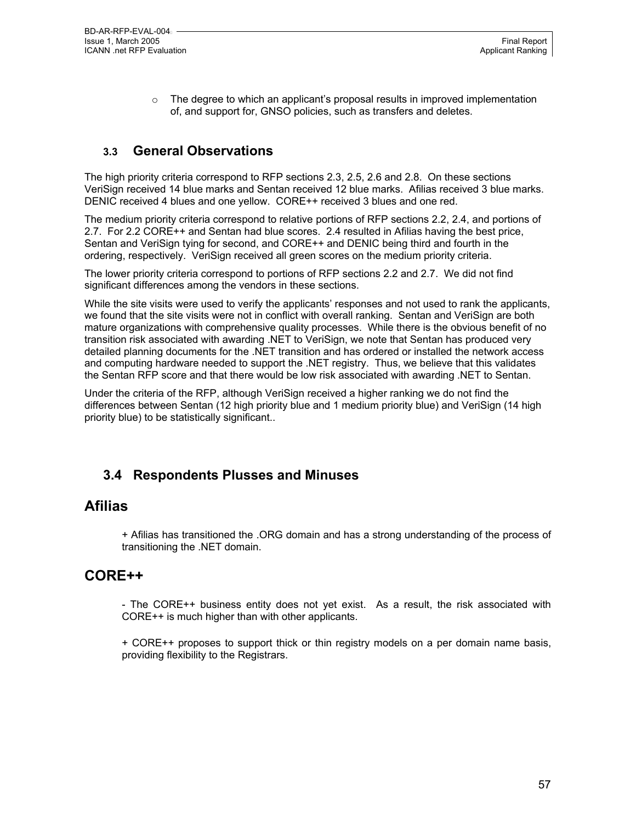$\circ$  The degree to which an applicant's proposal results in improved implementation of, and support for, GNSO policies, such as transfers and deletes.

## **3.3 General Observations**

The high priority criteria correspond to RFP sections 2.3, 2.5, 2.6 and 2.8. On these sections VeriSign received 14 blue marks and Sentan received 12 blue marks. Afilias received 3 blue marks. DENIC received 4 blues and one yellow. CORE++ received 3 blues and one red.

The medium priority criteria correspond to relative portions of RFP sections 2.2, 2.4, and portions of 2.7. For 2.2 CORE++ and Sentan had blue scores. 2.4 resulted in Afilias having the best price, Sentan and VeriSign tying for second, and CORE++ and DENIC being third and fourth in the ordering, respectively. VeriSign received all green scores on the medium priority criteria.

The lower priority criteria correspond to portions of RFP sections 2.2 and 2.7. We did not find significant differences among the vendors in these sections.

While the site visits were used to verify the applicants' responses and not used to rank the applicants, we found that the site visits were not in conflict with overall ranking. Sentan and VeriSign are both mature organizations with comprehensive quality processes. While there is the obvious benefit of no transition risk associated with awarding .NET to VeriSign, we note that Sentan has produced very detailed planning documents for the .NET transition and has ordered or installed the network access and computing hardware needed to support the .NET registry. Thus, we believe that this validates the Sentan RFP score and that there would be low risk associated with awarding .NET to Sentan.

Under the criteria of the RFP, although VeriSign received a higher ranking we do not find the differences between Sentan (12 high priority blue and 1 medium priority blue) and VeriSign (14 high priority blue) to be statistically significant..

## **3.4 Respondents Plusses and Minuses**

## **Afilias**

+ Afilias has transitioned the .ORG domain and has a strong understanding of the process of transitioning the .NET domain.

## **CORE++**

- The CORE++ business entity does not yet exist. As a result, the risk associated with CORE++ is much higher than with other applicants.

+ CORE++ proposes to support thick or thin registry models on a per domain name basis, providing flexibility to the Registrars.